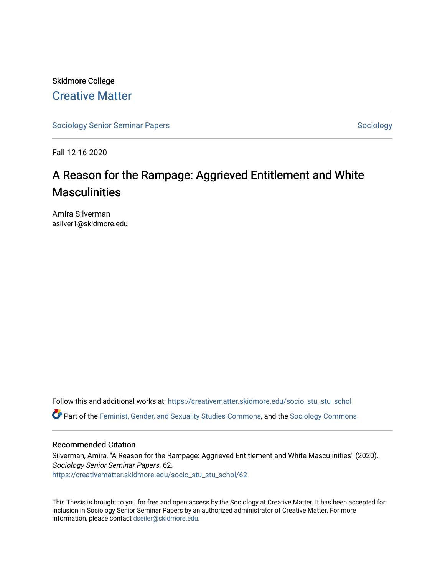Skidmore College [Creative Matter](https://creativematter.skidmore.edu/) 

[Sociology Senior Seminar Papers](https://creativematter.skidmore.edu/socio_stu_stu_schol) [Sociology](https://creativematter.skidmore.edu/stu_schol_socio_stu) Senior Seminar Papers Sociology

Fall 12-16-2020

# A Reason for the Rampage: Aggrieved Entitlement and White **Masculinities**

Amira Silverman asilver1@skidmore.edu

Follow this and additional works at: [https://creativematter.skidmore.edu/socio\\_stu\\_stu\\_schol](https://creativematter.skidmore.edu/socio_stu_stu_schol?utm_source=creativematter.skidmore.edu%2Fsocio_stu_stu_schol%2F62&utm_medium=PDF&utm_campaign=PDFCoverPages) 

Part of the [Feminist, Gender, and Sexuality Studies Commons](http://network.bepress.com/hgg/discipline/559?utm_source=creativematter.skidmore.edu%2Fsocio_stu_stu_schol%2F62&utm_medium=PDF&utm_campaign=PDFCoverPages), and the [Sociology Commons](http://network.bepress.com/hgg/discipline/416?utm_source=creativematter.skidmore.edu%2Fsocio_stu_stu_schol%2F62&utm_medium=PDF&utm_campaign=PDFCoverPages)

#### Recommended Citation

Silverman, Amira, "A Reason for the Rampage: Aggrieved Entitlement and White Masculinities" (2020). Sociology Senior Seminar Papers. 62. [https://creativematter.skidmore.edu/socio\\_stu\\_stu\\_schol/62](https://creativematter.skidmore.edu/socio_stu_stu_schol/62?utm_source=creativematter.skidmore.edu%2Fsocio_stu_stu_schol%2F62&utm_medium=PDF&utm_campaign=PDFCoverPages)

This Thesis is brought to you for free and open access by the Sociology at Creative Matter. It has been accepted for inclusion in Sociology Senior Seminar Papers by an authorized administrator of Creative Matter. For more information, please contact [dseiler@skidmore.edu.](mailto:dseiler@skidmore.edu)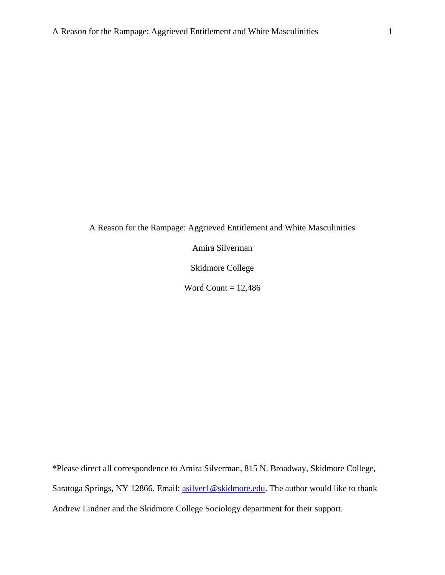A Reason for the Rampage: Aggrieved Entitlement and White Masculinities

Amira Silverman

Skidmore College

Word Count =  $12,486$ 

\*Please direct all correspondence to Amira Silverman, 815 N. Broadway, Skidmore College, Saratoga Springs, NY 12866. Email: [asilver1@skidmore.edu.](mailto:asilver1@skidmore.edu) The author would like to thank Andrew Lindner and the Skidmore College Sociology department for their support.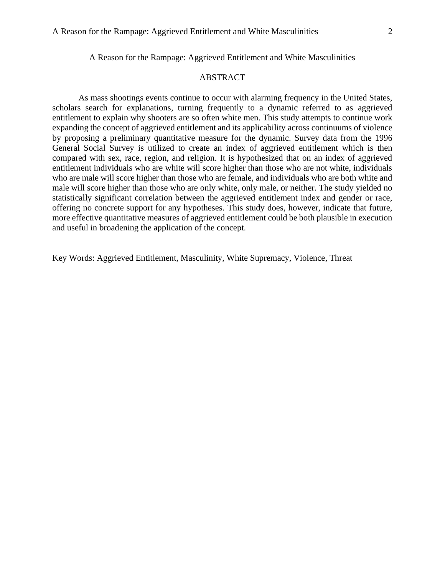A Reason for the Rampage: Aggrieved Entitlement and White Masculinities

## ABSTRACT

As mass shootings events continue to occur with alarming frequency in the United States, scholars search for explanations, turning frequently to a dynamic referred to as aggrieved entitlement to explain why shooters are so often white men. This study attempts to continue work expanding the concept of aggrieved entitlement and its applicability across continuums of violence by proposing a preliminary quantitative measure for the dynamic. Survey data from the 1996 General Social Survey is utilized to create an index of aggrieved entitlement which is then compared with sex, race, region, and religion. It is hypothesized that on an index of aggrieved entitlement individuals who are white will score higher than those who are not white, individuals who are male will score higher than those who are female, and individuals who are both white and male will score higher than those who are only white, only male, or neither. The study yielded no statistically significant correlation between the aggrieved entitlement index and gender or race, offering no concrete support for any hypotheses. This study does, however, indicate that future, more effective quantitative measures of aggrieved entitlement could be both plausible in execution and useful in broadening the application of the concept.

Key Words: Aggrieved Entitlement, Masculinity, White Supremacy, Violence, Threat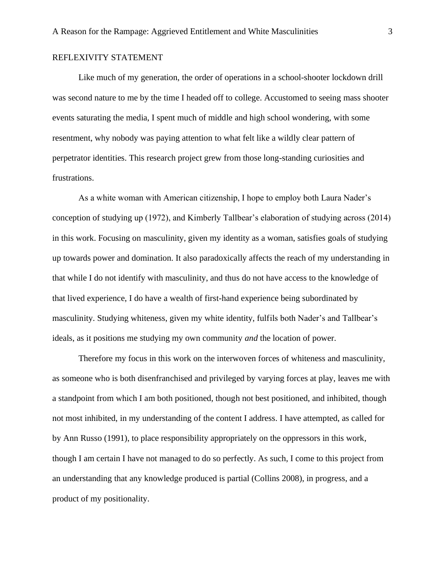### REFLEXIVITY STATEMENT

Like much of my generation, the order of operations in a school-shooter lockdown drill was second nature to me by the time I headed off to college. Accustomed to seeing mass shooter events saturating the media, I spent much of middle and high school wondering, with some resentment, why nobody was paying attention to what felt like a wildly clear pattern of perpetrator identities. This research project grew from those long-standing curiosities and frustrations.

As a white woman with American citizenship, I hope to employ both Laura Nader's conception of studying up (1972), and Kimberly Tallbear's elaboration of studying across (2014) in this work. Focusing on masculinity, given my identity as a woman, satisfies goals of studying up towards power and domination. It also paradoxically affects the reach of my understanding in that while I do not identify with masculinity, and thus do not have access to the knowledge of that lived experience, I do have a wealth of first-hand experience being subordinated by masculinity. Studying whiteness, given my white identity, fulfils both Nader's and Tallbear's ideals, as it positions me studying my own community *and* the location of power.

Therefore my focus in this work on the interwoven forces of whiteness and masculinity, as someone who is both disenfranchised and privileged by varying forces at play, leaves me with a standpoint from which I am both positioned, though not best positioned, and inhibited, though not most inhibited, in my understanding of the content I address. I have attempted, as called for by Ann Russo (1991), to place responsibility appropriately on the oppressors in this work, though I am certain I have not managed to do so perfectly. As such, I come to this project from an understanding that any knowledge produced is partial (Collins 2008), in progress, and a product of my positionality.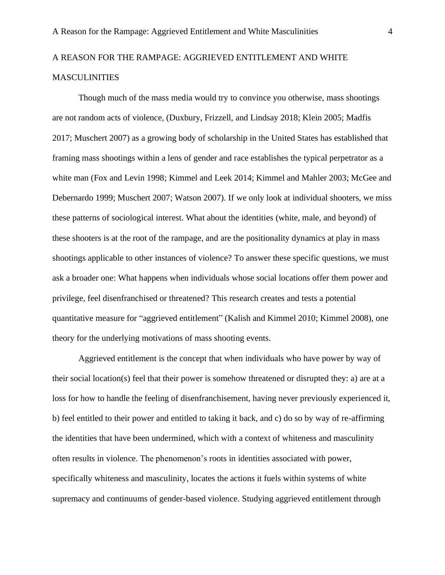# A REASON FOR THE RAMPAGE: AGGRIEVED ENTITLEMENT AND WHITE MASCULINITIES

Though much of the mass media would try to convince you otherwise, mass shootings are not random acts of violence, (Duxbury, Frizzell, and Lindsay 2018; Klein 2005; Madfis 2017; Muschert 2007) as a growing body of scholarship in the United States has established that framing mass shootings within a lens of gender and race establishes the typical perpetrator as a white man (Fox and Levin 1998; Kimmel and Leek 2014; Kimmel and Mahler 2003; McGee and Debernardo 1999; Muschert 2007; Watson 2007). If we only look at individual shooters, we miss these patterns of sociological interest. What about the identities (white, male, and beyond) of these shooters is at the root of the rampage, and are the positionality dynamics at play in mass shootings applicable to other instances of violence? To answer these specific questions, we must ask a broader one: What happens when individuals whose social locations offer them power and privilege, feel disenfranchised or threatened? This research creates and tests a potential quantitative measure for "aggrieved entitlement" (Kalish and Kimmel 2010; Kimmel 2008), one theory for the underlying motivations of mass shooting events.

Aggrieved entitlement is the concept that when individuals who have power by way of their social location(s) feel that their power is somehow threatened or disrupted they: a) are at a loss for how to handle the feeling of disenfranchisement, having never previously experienced it, b) feel entitled to their power and entitled to taking it back, and c) do so by way of re-affirming the identities that have been undermined, which with a context of whiteness and masculinity often results in violence. The phenomenon's roots in identities associated with power, specifically whiteness and masculinity, locates the actions it fuels within systems of white supremacy and continuums of gender-based violence. Studying aggrieved entitlement through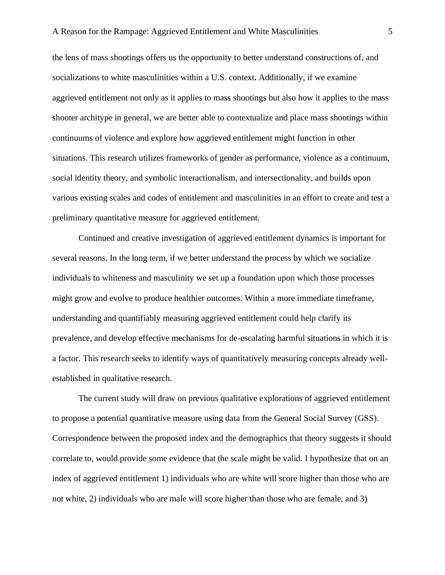the lens of mass shootings offers us the opportunity to better understand constructions of, and socializations to white masculinities within a U.S. context**.** Additionally, if we examine aggrieved entitlement not only as it applies to mass shootings but also how it applies to the mass shooter architype in general, we are better able to contextualize and place mass shootings within continuums of violence and explore how aggrieved entitlement might function in other situations. This research utilizes frameworks of gender as performance, violence as a continuum, social identity theory, and symbolic interactionalism, and intersectionality, and builds upon various existing scales and codes of entitlement and masculinities in an effort to create and test a preliminary quantitative measure for aggrieved entitlement.

Continued and creative investigation of aggrieved entitlement dynamics is important for several reasons. In the long term, if we better understand the process by which we socialize individuals to whiteness and masculinity we set up a foundation upon which those processes might grow and evolve to produce healthier outcomes. Within a more immediate timeframe, understanding and quantifiably measuring aggrieved entitlement could help clarify its prevalence, and develop effective mechanisms for de-escalating harmful situations in which it is a factor. This research seeks to identify ways of quantitatively measuring concepts already wellestablished in qualitative research.

The current study will draw on previous qualitative explorations of aggrieved entitlement to propose a potential quantitative measure using data from the General Social Survey (GSS). Correspondence between the proposed index and the demographics that theory suggests it should correlate to, would provide some evidence that the scale might be valid. I hypothesize that on an index of aggrieved entitlement 1) individuals who are white will score higher than those who are not white, 2) individuals who are male will score higher than those who are female, and 3)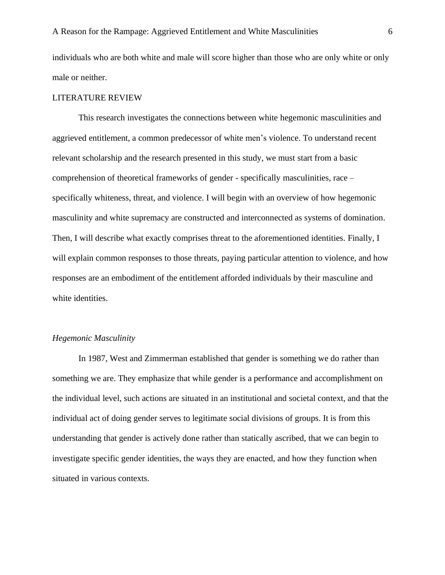individuals who are both white and male will score higher than those who are only white or only male or neither.

#### LITERATURE REVIEW

This research investigates the connections between white hegemonic masculinities and aggrieved entitlement, a common predecessor of white men's violence. To understand recent relevant scholarship and the research presented in this study, we must start from a basic comprehension of theoretical frameworks of gender - specifically masculinities, race – specifically whiteness, threat, and violence. I will begin with an overview of how hegemonic masculinity and white supremacy are constructed and interconnected as systems of domination. Then, I will describe what exactly comprises threat to the aforementioned identities. Finally, I will explain common responses to those threats, paying particular attention to violence, and how responses are an embodiment of the entitlement afforded individuals by their masculine and white identities.

#### *Hegemonic Masculinity*

In 1987, West and Zimmerman established that gender is something we do rather than something we are. They emphasize that while gender is a performance and accomplishment on the individual level, such actions are situated in an institutional and societal context, and that the individual act of doing gender serves to legitimate social divisions of groups. It is from this understanding that gender is actively done rather than statically ascribed, that we can begin to investigate specific gender identities, the ways they are enacted, and how they function when situated in various contexts.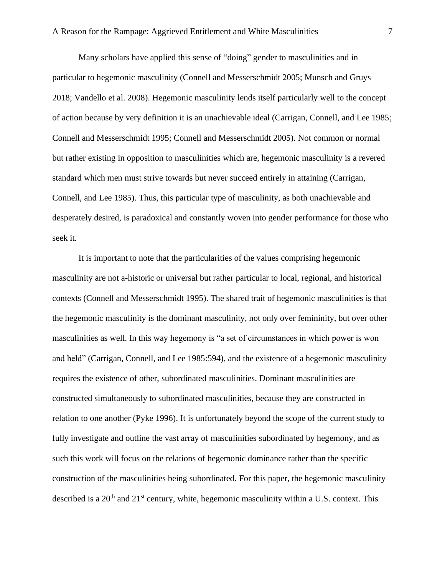Many scholars have applied this sense of "doing" gender to masculinities and in particular to hegemonic masculinity (Connell and Messerschmidt 2005; Munsch and Gruys 2018; Vandello et al. 2008). Hegemonic masculinity lends itself particularly well to the concept of action because by very definition it is an unachievable ideal (Carrigan, Connell, and Lee 1985; Connell and Messerschmidt 1995; Connell and Messerschmidt 2005). Not common or normal but rather existing in opposition to masculinities which are, hegemonic masculinity is a revered standard which men must strive towards but never succeed entirely in attaining (Carrigan, Connell, and Lee 1985). Thus, this particular type of masculinity, as both unachievable and desperately desired, is paradoxical and constantly woven into gender performance for those who seek it.

It is important to note that the particularities of the values comprising hegemonic masculinity are not a-historic or universal but rather particular to local, regional, and historical contexts (Connell and Messerschmidt 1995). The shared trait of hegemonic masculinities is that the hegemonic masculinity is the dominant masculinity, not only over femininity, but over other masculinities as well. In this way hegemony is "a set of circumstances in which power is won and held" (Carrigan, Connell, and Lee 1985:594), and the existence of a hegemonic masculinity requires the existence of other, subordinated masculinities. Dominant masculinities are constructed simultaneously to subordinated masculinities, because they are constructed in relation to one another (Pyke 1996). It is unfortunately beyond the scope of the current study to fully investigate and outline the vast array of masculinities subordinated by hegemony, and as such this work will focus on the relations of hegemonic dominance rather than the specific construction of the masculinities being subordinated. For this paper, the hegemonic masculinity described is a  $20<sup>th</sup>$  and  $21<sup>st</sup>$  century, white, hegemonic masculinity within a U.S. context. This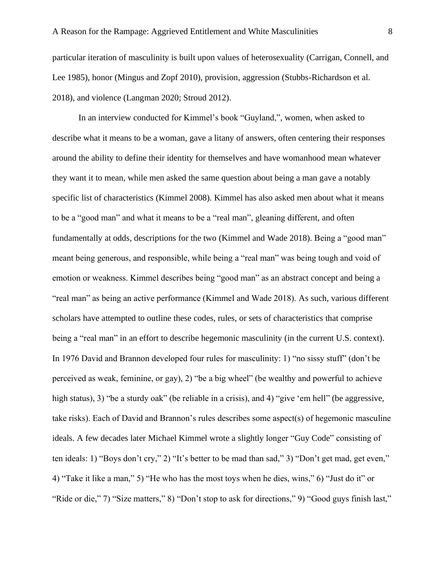particular iteration of masculinity is built upon values of heterosexuality (Carrigan, Connell, and Lee 1985), honor (Mingus and Zopf 2010), provision, aggression (Stubbs-Richardson et al. 2018), and violence (Langman 2020; Stroud 2012).

In an interview conducted for Kimmel's book "Guyland,", women, when asked to describe what it means to be a woman, gave a litany of answers, often centering their responses around the ability to define their identity for themselves and have womanhood mean whatever they want it to mean, while men asked the same question about being a man gave a notably specific list of characteristics (Kimmel 2008). Kimmel has also asked men about what it means to be a "good man" and what it means to be a "real man", gleaning different, and often fundamentally at odds, descriptions for the two (Kimmel and Wade 2018). Being a "good man" meant being generous, and responsible, while being a "real man" was being tough and void of emotion or weakness. Kimmel describes being "good man" as an abstract concept and being a "real man" as being an active performance (Kimmel and Wade 2018). As such, various different scholars have attempted to outline these codes, rules, or sets of characteristics that comprise being a "real man" in an effort to describe hegemonic masculinity (in the current U.S. context). In 1976 David and Brannon developed four rules for masculinity: 1) "no sissy stuff" (don't be perceived as weak, feminine, or gay), 2) "be a big wheel" (be wealthy and powerful to achieve high status), 3) "be a sturdy oak" (be reliable in a crisis), and 4) "give 'em hell" (be aggressive, take risks). Each of David and Brannon's rules describes some aspect(s) of hegemonic masculine ideals. A few decades later Michael Kimmel wrote a slightly longer "Guy Code" consisting of ten ideals: 1) "Boys don't cry," 2) "It's better to be mad than sad," 3) "Don't get mad, get even," 4) "Take it like a man," 5) "He who has the most toys when he dies, wins," 6) "Just do it" or "Ride or die," 7) "Size matters," 8) "Don't stop to ask for directions," 9) "Good guys finish last,"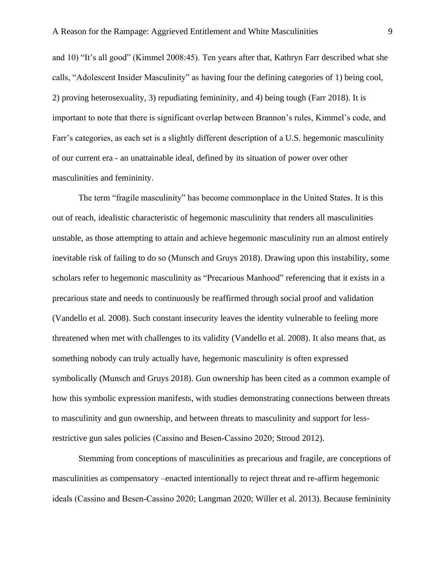and 10) "It's all good" (Kimmel 2008:45). Ten years after that, Kathryn Farr described what she calls, "Adolescent Insider Masculinity" as having four the defining categories of 1) being cool, 2) proving heterosexuality, 3) repudiating femininity, and 4) being tough (Farr 2018). It is important to note that there is significant overlap between Brannon's rules, Kimmel's code, and Farr's categories, as each set is a slightly different description of a U.S. hegemonic masculinity of our current era - an unattainable ideal, defined by its situation of power over other masculinities and femininity.

The term "fragile masculinity" has become commonplace in the United States. It is this out of reach, idealistic characteristic of hegemonic masculinity that renders all masculinities unstable, as those attempting to attain and achieve hegemonic masculinity run an almost entirely inevitable risk of failing to do so (Munsch and Gruys 2018). Drawing upon this instability, some scholars refer to hegemonic masculinity as "Precarious Manhood" referencing that it exists in a precarious state and needs to continuously be reaffirmed through social proof and validation (Vandello et al. 2008). Such constant insecurity leaves the identity vulnerable to feeling more threatened when met with challenges to its validity (Vandello et al. 2008). It also means that, as something nobody can truly actually have, hegemonic masculinity is often expressed symbolically (Munsch and Gruys 2018). Gun ownership has been cited as a common example of how this symbolic expression manifests, with studies demonstrating connections between threats to masculinity and gun ownership, and between threats to masculinity and support for lessrestrictive gun sales policies (Cassino and Besen‐Cassino 2020; Stroud 2012).

Stemming from conceptions of masculinities as precarious and fragile, are conceptions of masculinities as compensatory –enacted intentionally to reject threat and re-affirm hegemonic ideals (Cassino and Besen‐Cassino 2020; Langman 2020; Willer et al. 2013). Because femininity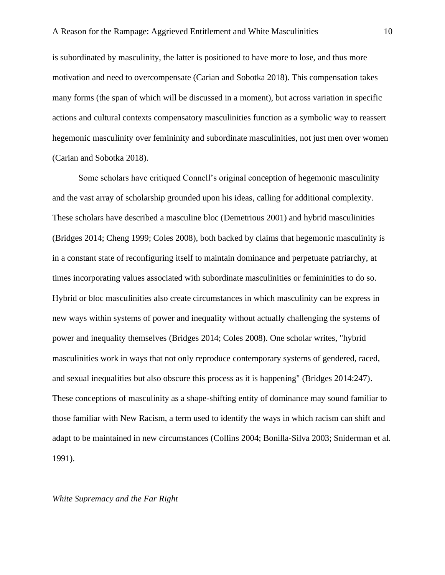is subordinated by masculinity, the latter is positioned to have more to lose, and thus more motivation and need to overcompensate (Carian and Sobotka 2018). This compensation takes many forms (the span of which will be discussed in a moment), but across variation in specific actions and cultural contexts compensatory masculinities function as a symbolic way to reassert hegemonic masculinity over femininity and subordinate masculinities, not just men over women (Carian and Sobotka 2018).

Some scholars have critiqued Connell's original conception of hegemonic masculinity and the vast array of scholarship grounded upon his ideas, calling for additional complexity. These scholars have described a masculine bloc (Demetrious 2001) and hybrid masculinities (Bridges 2014; Cheng 1999; Coles 2008), both backed by claims that hegemonic masculinity is in a constant state of reconfiguring itself to maintain dominance and perpetuate patriarchy, at times incorporating values associated with subordinate masculinities or femininities to do so. Hybrid or bloc masculinities also create circumstances in which masculinity can be express in new ways within systems of power and inequality without actually challenging the systems of power and inequality themselves (Bridges 2014; Coles 2008). One scholar writes, "hybrid masculinities work in ways that not only reproduce contemporary systems of gendered, raced, and sexual inequalities but also obscure this process as it is happening" (Bridges 2014:247). These conceptions of masculinity as a shape-shifting entity of dominance may sound familiar to those familiar with New Racism, a term used to identify the ways in which racism can shift and adapt to be maintained in new circumstances (Collins 2004; Bonilla-Silva 2003; Sniderman et al. 1991).

#### *White Supremacy and the Far Right*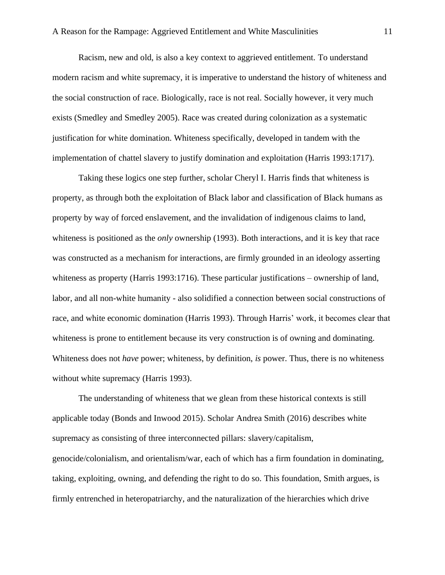Racism, new and old, is also a key context to aggrieved entitlement. To understand modern racism and white supremacy, it is imperative to understand the history of whiteness and the social construction of race. Biologically, race is not real. Socially however, it very much exists (Smedley and Smedley 2005). Race was created during colonization as a systematic justification for white domination. Whiteness specifically, developed in tandem with the implementation of chattel slavery to justify domination and exploitation (Harris 1993:1717).

Taking these logics one step further, scholar Cheryl I. Harris finds that whiteness is property, as through both the exploitation of Black labor and classification of Black humans as property by way of forced enslavement, and the invalidation of indigenous claims to land, whiteness is positioned as the *only* ownership (1993). Both interactions, and it is key that race was constructed as a mechanism for interactions, are firmly grounded in an ideology asserting whiteness as property (Harris 1993:1716). These particular justifications – ownership of land, labor, and all non-white humanity - also solidified a connection between social constructions of race, and white economic domination (Harris 1993). Through Harris' work, it becomes clear that whiteness is prone to entitlement because its very construction is of owning and dominating. Whiteness does not *have* power; whiteness, by definition, *is* power. Thus, there is no whiteness without white supremacy (Harris 1993).

The understanding of whiteness that we glean from these historical contexts is still applicable today (Bonds and Inwood 2015). Scholar Andrea Smith (2016) describes white supremacy as consisting of three interconnected pillars: slavery/capitalism, genocide/colonialism, and orientalism/war, each of which has a firm foundation in dominating, taking, exploiting, owning, and defending the right to do so. This foundation, Smith argues, is firmly entrenched in heteropatriarchy, and the naturalization of the hierarchies which drive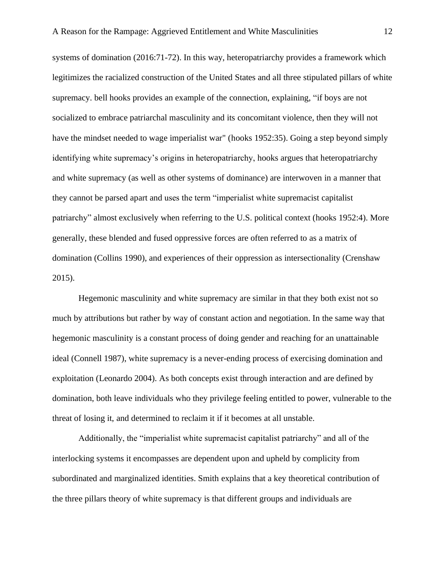systems of domination (2016:71-72). In this way, heteropatriarchy provides a framework which legitimizes the racialized construction of the United States and all three stipulated pillars of white supremacy. bell hooks provides an example of the connection, explaining, "if boys are not socialized to embrace patriarchal masculinity and its concomitant violence, then they will not have the mindset needed to wage imperialist war" (hooks 1952:35). Going a step beyond simply identifying white supremacy's origins in heteropatriarchy, hooks argues that heteropatriarchy and white supremacy (as well as other systems of dominance) are interwoven in a manner that they cannot be parsed apart and uses the term "imperialist white supremacist capitalist patriarchy" almost exclusively when referring to the U.S. political context (hooks 1952:4). More generally, these blended and fused oppressive forces are often referred to as a matrix of domination (Collins 1990), and experiences of their oppression as intersectionality (Crenshaw 2015).

Hegemonic masculinity and white supremacy are similar in that they both exist not so much by attributions but rather by way of constant action and negotiation. In the same way that hegemonic masculinity is a constant process of doing gender and reaching for an unattainable ideal (Connell 1987), white supremacy is a never-ending process of exercising domination and exploitation (Leonardo 2004). As both concepts exist through interaction and are defined by domination, both leave individuals who they privilege feeling entitled to power, vulnerable to the threat of losing it, and determined to reclaim it if it becomes at all unstable.

Additionally, the "imperialist white supremacist capitalist patriarchy" and all of the interlocking systems it encompasses are dependent upon and upheld by complicity from subordinated and marginalized identities. Smith explains that a key theoretical contribution of the three pillars theory of white supremacy is that different groups and individuals are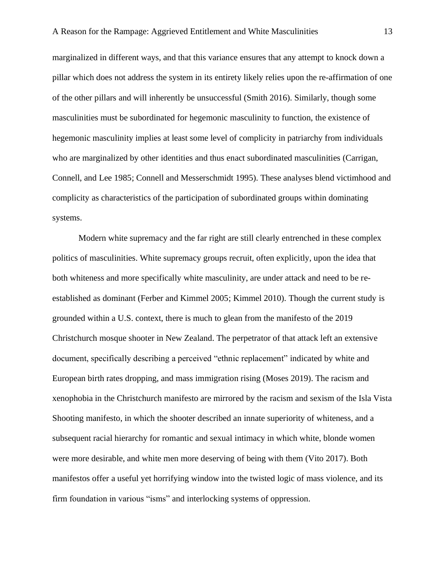marginalized in different ways, and that this variance ensures that any attempt to knock down a pillar which does not address the system in its entirety likely relies upon the re-affirmation of one of the other pillars and will inherently be unsuccessful (Smith 2016). Similarly, though some masculinities must be subordinated for hegemonic masculinity to function, the existence of hegemonic masculinity implies at least some level of complicity in patriarchy from individuals who are marginalized by other identities and thus enact subordinated masculinities (Carrigan, Connell, and Lee 1985; Connell and Messerschmidt 1995). These analyses blend victimhood and complicity as characteristics of the participation of subordinated groups within dominating systems.

Modern white supremacy and the far right are still clearly entrenched in these complex politics of masculinities. White supremacy groups recruit, often explicitly, upon the idea that both whiteness and more specifically white masculinity, are under attack and need to be reestablished as dominant (Ferber and Kimmel 2005; Kimmel 2010). Though the current study is grounded within a U.S. context, there is much to glean from the manifesto of the 2019 Christchurch mosque shooter in New Zealand. The perpetrator of that attack left an extensive document, specifically describing a perceived "ethnic replacement" indicated by white and European birth rates dropping, and mass immigration rising (Moses 2019). The racism and xenophobia in the Christchurch manifesto are mirrored by the racism and sexism of the Isla Vista Shooting manifesto, in which the shooter described an innate superiority of whiteness, and a subsequent racial hierarchy for romantic and sexual intimacy in which white, blonde women were more desirable, and white men more deserving of being with them (Vito 2017). Both manifestos offer a useful yet horrifying window into the twisted logic of mass violence, and its firm foundation in various "isms" and interlocking systems of oppression.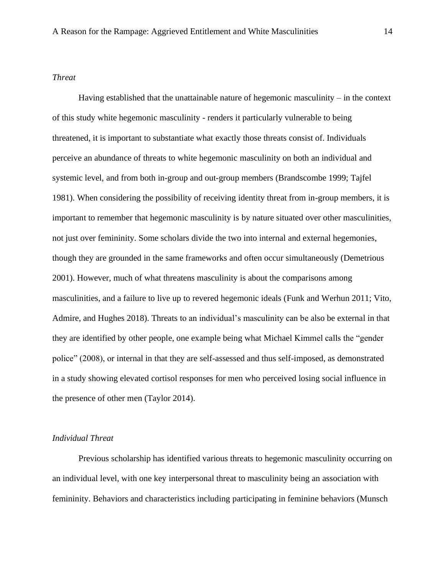#### *Threat*

Having established that the unattainable nature of hegemonic masculinity – in the context of this study white hegemonic masculinity - renders it particularly vulnerable to being threatened, it is important to substantiate what exactly those threats consist of. Individuals perceive an abundance of threats to white hegemonic masculinity on both an individual and systemic level, and from both in-group and out-group members (Brandscombe 1999; Tajfel 1981). When considering the possibility of receiving identity threat from in-group members, it is important to remember that hegemonic masculinity is by nature situated over other masculinities, not just over femininity. Some scholars divide the two into internal and external hegemonies, though they are grounded in the same frameworks and often occur simultaneously (Demetrious 2001). However, much of what threatens masculinity is about the comparisons among masculinities, and a failure to live up to revered hegemonic ideals (Funk and Werhun 2011; Vito, Admire, and Hughes 2018). Threats to an individual's masculinity can be also be external in that they are identified by other people, one example being what Michael Kimmel calls the "gender police" (2008), or internal in that they are self-assessed and thus self-imposed, as demonstrated in a study showing elevated cortisol responses for men who perceived losing social influence in the presence of other men (Taylor 2014).

#### *Individual Threat*

Previous scholarship has identified various threats to hegemonic masculinity occurring on an individual level, with one key interpersonal threat to masculinity being an association with femininity. Behaviors and characteristics including participating in feminine behaviors (Munsch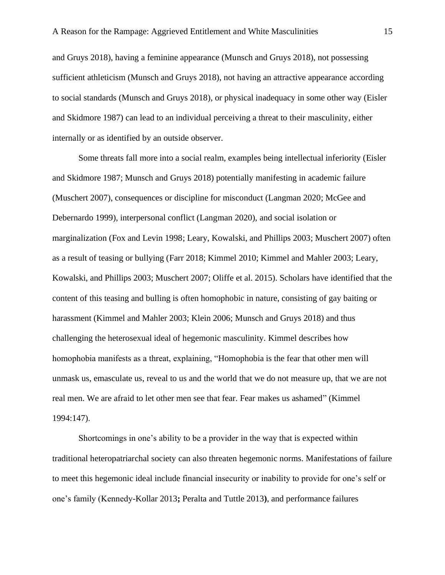and Gruys 2018), having a feminine appearance (Munsch and Gruys 2018), not possessing sufficient athleticism (Munsch and Gruys 2018), not having an attractive appearance according to social standards (Munsch and Gruys 2018), or physical inadequacy in some other way (Eisler and Skidmore 1987) can lead to an individual perceiving a threat to their masculinity, either internally or as identified by an outside observer.

Some threats fall more into a social realm, examples being intellectual inferiority (Eisler and Skidmore 1987; Munsch and Gruys 2018) potentially manifesting in academic failure (Muschert 2007), consequences or discipline for misconduct (Langman 2020; McGee and Debernardo 1999), interpersonal conflict (Langman 2020), and social isolation or marginalization (Fox and Levin 1998; Leary, Kowalski, and Phillips 2003; Muschert 2007) often as a result of teasing or bullying (Farr 2018; Kimmel 2010; Kimmel and Mahler 2003; Leary, Kowalski, and Phillips 2003; Muschert 2007; Oliffe et al. 2015). Scholars have identified that the content of this teasing and bulling is often homophobic in nature, consisting of gay baiting or harassment (Kimmel and Mahler 2003; Klein 2006; Munsch and Gruys 2018) and thus challenging the heterosexual ideal of hegemonic masculinity. Kimmel describes how homophobia manifests as a threat, explaining, "Homophobia is the fear that other men will unmask us, emasculate us, reveal to us and the world that we do not measure up, that we are not real men. We are afraid to let other men see that fear. Fear makes us ashamed" (Kimmel 1994:147).

Shortcomings in one's ability to be a provider in the way that is expected within traditional heteropatriarchal society can also threaten hegemonic norms. Manifestations of failure to meet this hegemonic ideal include financial insecurity or inability to provide for one's self or one's family (Kennedy-Kollar 2013**;** Peralta and Tuttle 2013**)**, and performance failures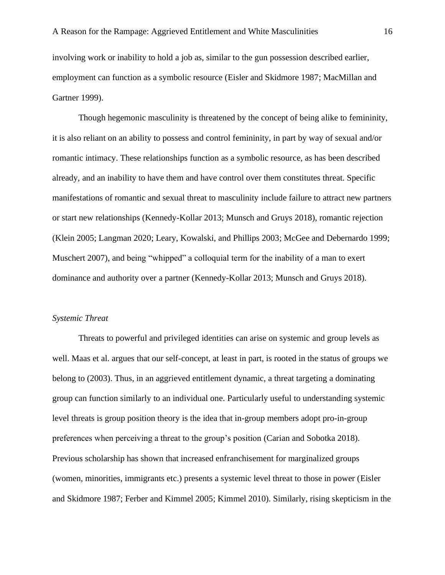involving work or inability to hold a job as, similar to the gun possession described earlier, employment can function as a symbolic resource (Eisler and Skidmore 1987; MacMillan and Gartner 1999).

Though hegemonic masculinity is threatened by the concept of being alike to femininity, it is also reliant on an ability to possess and control femininity, in part by way of sexual and/or romantic intimacy. These relationships function as a symbolic resource, as has been described already, and an inability to have them and have control over them constitutes threat. Specific manifestations of romantic and sexual threat to masculinity include failure to attract new partners or start new relationships (Kennedy-Kollar 2013; Munsch and Gruys 2018), romantic rejection (Klein 2005; Langman 2020; Leary, Kowalski, and Phillips 2003; McGee and Debernardo 1999; Muschert 2007), and being "whipped" a colloquial term for the inability of a man to exert dominance and authority over a partner (Kennedy-Kollar 2013; Munsch and Gruys 2018).

#### *Systemic Threat*

Threats to powerful and privileged identities can arise on systemic and group levels as well. Maas et al. argues that our self-concept, at least in part, is rooted in the status of groups we belong to (2003). Thus, in an aggrieved entitlement dynamic, a threat targeting a dominating group can function similarly to an individual one. Particularly useful to understanding systemic level threats is group position theory is the idea that in-group members adopt pro-in-group preferences when perceiving a threat to the group's position (Carian and Sobotka 2018). Previous scholarship has shown that increased enfranchisement for marginalized groups (women, minorities, immigrants etc.) presents a systemic level threat to those in power (Eisler and Skidmore 1987; Ferber and Kimmel 2005; Kimmel 2010). Similarly, rising skepticism in the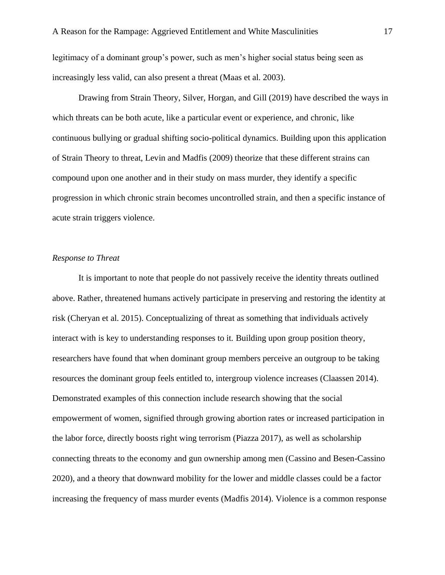legitimacy of a dominant group's power, such as men's higher social status being seen as increasingly less valid, can also present a threat (Maas et al. 2003).

Drawing from Strain Theory, Silver, Horgan, and Gill (2019) have described the ways in which threats can be both acute, like a particular event or experience, and chronic, like continuous bullying or gradual shifting socio-political dynamics. Building upon this application of Strain Theory to threat, Levin and Madfis (2009) theorize that these different strains can compound upon one another and in their study on mass murder, they identify a specific progression in which chronic strain becomes uncontrolled strain, and then a specific instance of acute strain triggers violence.

#### *Response to Threat*

It is important to note that people do not passively receive the identity threats outlined above. Rather, threatened humans actively participate in preserving and restoring the identity at risk (Cheryan et al. 2015). Conceptualizing of threat as something that individuals actively interact with is key to understanding responses to it. Building upon group position theory, researchers have found that when dominant group members perceive an outgroup to be taking resources the dominant group feels entitled to, intergroup violence increases (Claassen 2014). Demonstrated examples of this connection include research showing that the social empowerment of women, signified through growing abortion rates or increased participation in the labor force, directly boosts right wing terrorism (Piazza 2017), as well as scholarship connecting threats to the economy and gun ownership among men (Cassino and Besen-Cassino 2020), and a theory that downward mobility for the lower and middle classes could be a factor increasing the frequency of mass murder events (Madfis 2014). Violence is a common response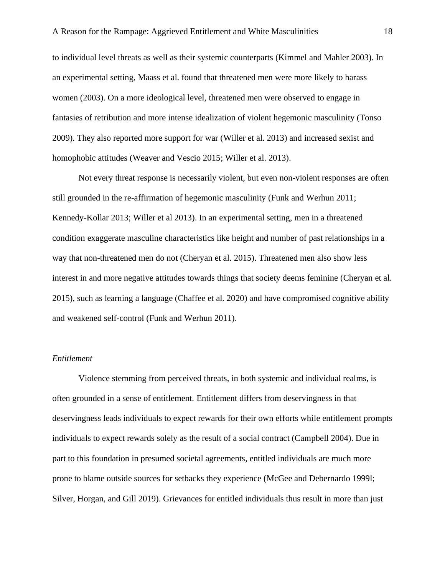to individual level threats as well as their systemic counterparts (Kimmel and Mahler 2003). In an experimental setting, Maass et al. found that threatened men were more likely to harass women (2003). On a more ideological level, threatened men were observed to engage in fantasies of retribution and more intense idealization of violent hegemonic masculinity (Tonso 2009). They also reported more support for war (Willer et al. 2013) and increased sexist and homophobic attitudes (Weaver and Vescio 2015; Willer et al. 2013).

Not every threat response is necessarily violent, but even non-violent responses are often still grounded in the re-affirmation of hegemonic masculinity (Funk and Werhun 2011; Kennedy-Kollar 2013; Willer et al 2013). In an experimental setting, men in a threatened condition exaggerate masculine characteristics like height and number of past relationships in a way that non-threatened men do not (Cheryan et al. 2015). Threatened men also show less interest in and more negative attitudes towards things that society deems feminine (Cheryan et al. 2015), such as learning a language (Chaffee et al. 2020) and have compromised cognitive ability and weakened self-control (Funk and Werhun 2011).

#### *Entitlement*

Violence stemming from perceived threats, in both systemic and individual realms, is often grounded in a sense of entitlement. Entitlement differs from deservingness in that deservingness leads individuals to expect rewards for their own efforts while entitlement prompts individuals to expect rewards solely as the result of a social contract (Campbell 2004). Due in part to this foundation in presumed societal agreements, entitled individuals are much more prone to blame outside sources for setbacks they experience (McGee and Debernardo 1999l; Silver, Horgan, and Gill 2019). Grievances for entitled individuals thus result in more than just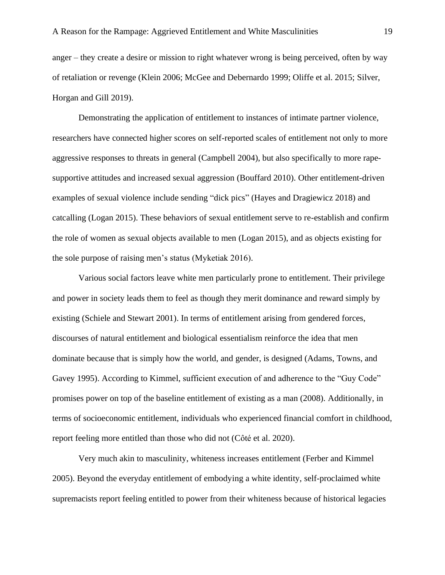anger – they create a desire or mission to right whatever wrong is being perceived, often by way of retaliation or revenge (Klein 2006; McGee and Debernardo 1999; Oliffe et al. 2015; Silver, Horgan and Gill 2019).

Demonstrating the application of entitlement to instances of intimate partner violence, researchers have connected higher scores on self-reported scales of entitlement not only to more aggressive responses to threats in general (Campbell 2004), but also specifically to more rapesupportive attitudes and increased sexual aggression (Bouffard 2010). Other entitlement-driven examples of sexual violence include sending "dick pics" (Hayes and Dragiewicz 2018) and catcalling (Logan 2015). These behaviors of sexual entitlement serve to re-establish and confirm the role of women as sexual objects available to men (Logan 2015), and as objects existing for the sole purpose of raising men's status (Myketiak 2016).

Various social factors leave white men particularly prone to entitlement. Their privilege and power in society leads them to feel as though they merit dominance and reward simply by existing (Schiele and Stewart 2001). In terms of entitlement arising from gendered forces, discourses of natural entitlement and biological essentialism reinforce the idea that men dominate because that is simply how the world, and gender, is designed (Adams, Towns, and Gavey 1995). According to Kimmel, sufficient execution of and adherence to the "Guy Code" promises power on top of the baseline entitlement of existing as a man (2008). Additionally, in terms of socioeconomic entitlement, individuals who experienced financial comfort in childhood, report feeling more entitled than those who did not (Côté et al. 2020).

Very much akin to masculinity, whiteness increases entitlement (Ferber and Kimmel 2005). Beyond the everyday entitlement of embodying a white identity, self-proclaimed white supremacists report feeling entitled to power from their whiteness because of historical legacies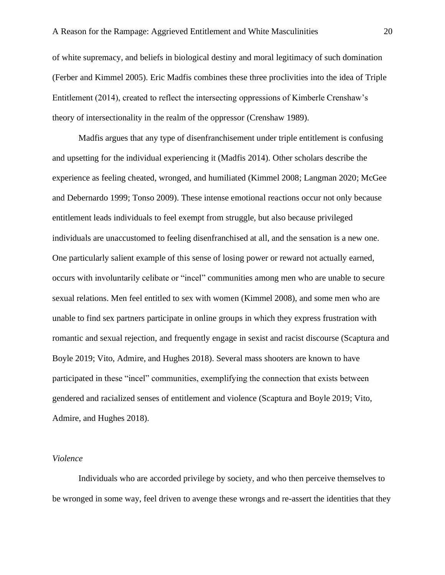of white supremacy, and beliefs in biological destiny and moral legitimacy of such domination (Ferber and Kimmel 2005). Eric Madfis combines these three proclivities into the idea of Triple Entitlement (2014), created to reflect the intersecting oppressions of Kimberle Crenshaw's theory of intersectionality in the realm of the oppressor (Crenshaw 1989).

Madfis argues that any type of disenfranchisement under triple entitlement is confusing and upsetting for the individual experiencing it (Madfis 2014). Other scholars describe the experience as feeling cheated, wronged, and humiliated (Kimmel 2008; Langman 2020; McGee and Debernardo 1999; Tonso 2009). These intense emotional reactions occur not only because entitlement leads individuals to feel exempt from struggle, but also because privileged individuals are unaccustomed to feeling disenfranchised at all, and the sensation is a new one. One particularly salient example of this sense of losing power or reward not actually earned, occurs with involuntarily celibate or "incel" communities among men who are unable to secure sexual relations. Men feel entitled to sex with women (Kimmel 2008), and some men who are unable to find sex partners participate in online groups in which they express frustration with romantic and sexual rejection, and frequently engage in sexist and racist discourse (Scaptura and Boyle 2019; Vito, Admire, and Hughes 2018). Several mass shooters are known to have participated in these "incel" communities, exemplifying the connection that exists between gendered and racialized senses of entitlement and violence (Scaptura and Boyle 2019; Vito, Admire, and Hughes 2018).

#### *Violence*

Individuals who are accorded privilege by society, and who then perceive themselves to be wronged in some way, feel driven to avenge these wrongs and re-assert the identities that they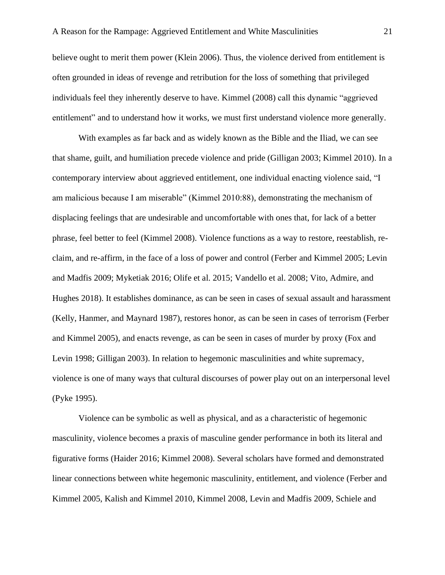believe ought to merit them power (Klein 2006). Thus, the violence derived from entitlement is often grounded in ideas of revenge and retribution for the loss of something that privileged individuals feel they inherently deserve to have. Kimmel (2008) call this dynamic "aggrieved entitlement" and to understand how it works, we must first understand violence more generally.

With examples as far back and as widely known as the Bible and the Iliad, we can see that shame, guilt, and humiliation precede violence and pride (Gilligan 2003; Kimmel 2010). In a contemporary interview about aggrieved entitlement, one individual enacting violence said, "I am malicious because I am miserable" (Kimmel 2010:88), demonstrating the mechanism of displacing feelings that are undesirable and uncomfortable with ones that, for lack of a better phrase, feel better to feel (Kimmel 2008). Violence functions as a way to restore, reestablish, reclaim, and re-affirm, in the face of a loss of power and control (Ferber and Kimmel 2005; Levin and Madfis 2009; Myketiak 2016; Olife et al. 2015; Vandello et al. 2008; Vito, Admire, and Hughes 2018). It establishes dominance, as can be seen in cases of sexual assault and harassment (Kelly, Hanmer, and Maynard 1987), restores honor, as can be seen in cases of terrorism (Ferber and Kimmel 2005), and enacts revenge, as can be seen in cases of murder by proxy (Fox and Levin 1998; Gilligan 2003). In relation to hegemonic masculinities and white supremacy, violence is one of many ways that cultural discourses of power play out on an interpersonal level (Pyke 1995).

Violence can be symbolic as well as physical, and as a characteristic of hegemonic masculinity, violence becomes a praxis of masculine gender performance in both its literal and figurative forms (Haider 2016; Kimmel 2008). Several scholars have formed and demonstrated linear connections between white hegemonic masculinity, entitlement, and violence (Ferber and Kimmel 2005, Kalish and Kimmel 2010, Kimmel 2008, Levin and Madfis 2009, Schiele and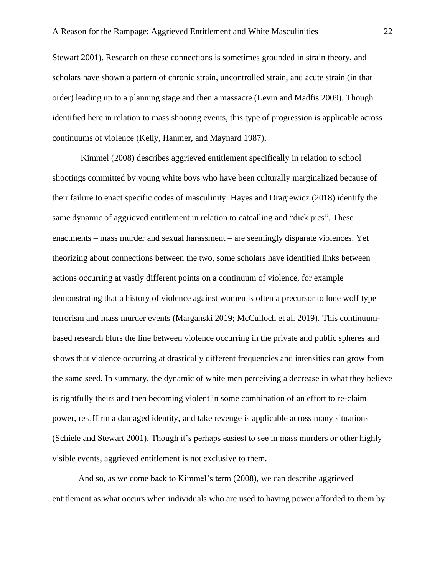Stewart 2001). Research on these connections is sometimes grounded in strain theory, and scholars have shown a pattern of chronic strain, uncontrolled strain, and acute strain (in that order) leading up to a planning stage and then a massacre (Levin and Madfis 2009). Though identified here in relation to mass shooting events, this type of progression is applicable across continuums of violence (Kelly, Hanmer, and Maynard 1987)**.** 

Kimmel (2008) describes aggrieved entitlement specifically in relation to school shootings committed by young white boys who have been culturally marginalized because of their failure to enact specific codes of masculinity. Hayes and Dragiewicz (2018) identify the same dynamic of aggrieved entitlement in relation to catcalling and "dick pics". These enactments – mass murder and sexual harassment – are seemingly disparate violences. Yet theorizing about connections between the two, some scholars have identified links between actions occurring at vastly different points on a continuum of violence, for example demonstrating that a history of violence against women is often a precursor to lone wolf type terrorism and mass murder events (Marganski 2019; McCulloch et al. 2019). This continuumbased research blurs the line between violence occurring in the private and public spheres and shows that violence occurring at drastically different frequencies and intensities can grow from the same seed. In summary, the dynamic of white men perceiving a decrease in what they believe is rightfully theirs and then becoming violent in some combination of an effort to re-claim power, re-affirm a damaged identity, and take revenge is applicable across many situations (Schiele and Stewart 2001). Though it's perhaps easiest to see in mass murders or other highly visible events, aggrieved entitlement is not exclusive to them.

And so, as we come back to Kimmel's term (2008), we can describe aggrieved entitlement as what occurs when individuals who are used to having power afforded to them by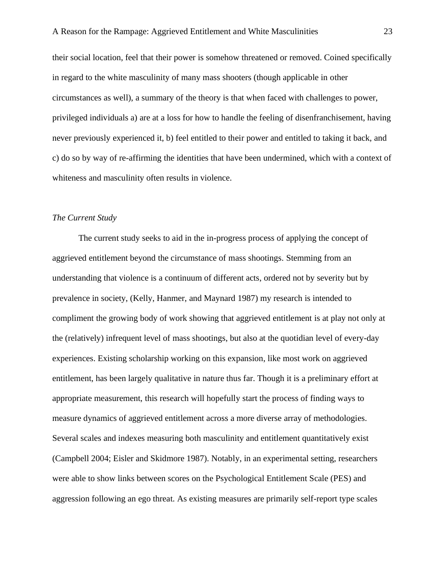their social location, feel that their power is somehow threatened or removed. Coined specifically in regard to the white masculinity of many mass shooters (though applicable in other circumstances as well), a summary of the theory is that when faced with challenges to power, privileged individuals a) are at a loss for how to handle the feeling of disenfranchisement, having never previously experienced it, b) feel entitled to their power and entitled to taking it back, and c) do so by way of re-affirming the identities that have been undermined, which with a context of whiteness and masculinity often results in violence.

#### *The Current Study*

The current study seeks to aid in the in-progress process of applying the concept of aggrieved entitlement beyond the circumstance of mass shootings. Stemming from an understanding that violence is a continuum of different acts, ordered not by severity but by prevalence in society, (Kelly, Hanmer, and Maynard 1987) my research is intended to compliment the growing body of work showing that aggrieved entitlement is at play not only at the (relatively) infrequent level of mass shootings, but also at the quotidian level of every-day experiences. Existing scholarship working on this expansion, like most work on aggrieved entitlement, has been largely qualitative in nature thus far. Though it is a preliminary effort at appropriate measurement, this research will hopefully start the process of finding ways to measure dynamics of aggrieved entitlement across a more diverse array of methodologies. Several scales and indexes measuring both masculinity and entitlement quantitatively exist (Campbell 2004; Eisler and Skidmore 1987). Notably, in an experimental setting, researchers were able to show links between scores on the Psychological Entitlement Scale (PES) and aggression following an ego threat. As existing measures are primarily self-report type scales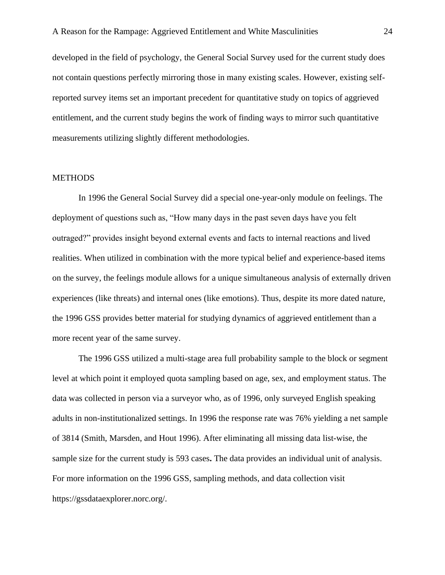developed in the field of psychology, the General Social Survey used for the current study does not contain questions perfectly mirroring those in many existing scales. However, existing selfreported survey items set an important precedent for quantitative study on topics of aggrieved entitlement, and the current study begins the work of finding ways to mirror such quantitative measurements utilizing slightly different methodologies.

#### **METHODS**

In 1996 the General Social Survey did a special one-year-only module on feelings. The deployment of questions such as, "How many days in the past seven days have you felt outraged?" provides insight beyond external events and facts to internal reactions and lived realities. When utilized in combination with the more typical belief and experience-based items on the survey, the feelings module allows for a unique simultaneous analysis of externally driven experiences (like threats) and internal ones (like emotions). Thus, despite its more dated nature, the 1996 GSS provides better material for studying dynamics of aggrieved entitlement than a more recent year of the same survey.

The 1996 GSS utilized a multi-stage area full probability sample to the block or segment level at which point it employed quota sampling based on age, sex, and employment status. The data was collected in person via a surveyor who, as of 1996, only surveyed English speaking adults in non-institutionalized settings. In 1996 the response rate was 76% yielding a net sample of 3814 (Smith, Marsden, and Hout 1996). After eliminating all missing data list-wise, the sample size for the current study is 593 cases**.** The data provides an individual unit of analysis. For more information on the 1996 GSS, sampling methods, and data collection visit https://gssdataexplorer.norc.org/.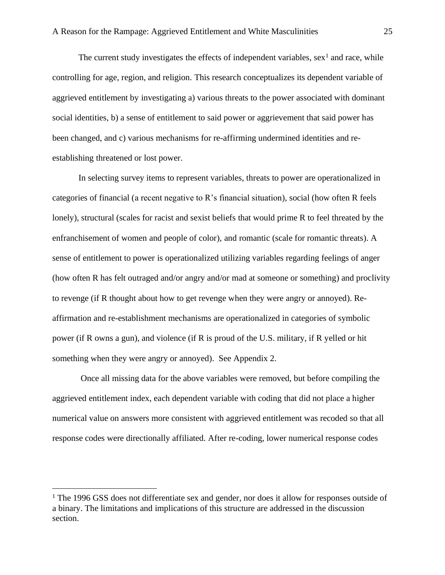The current study investigates the effects of independent variables,  $sex<sup>1</sup>$  and race, while controlling for age, region, and religion. This research conceptualizes its dependent variable of aggrieved entitlement by investigating a) various threats to the power associated with dominant social identities, b) a sense of entitlement to said power or aggrievement that said power has been changed, and c) various mechanisms for re-affirming undermined identities and reestablishing threatened or lost power.

In selecting survey items to represent variables, threats to power are operationalized in categories of financial (a recent negative to R's financial situation), social (how often R feels lonely), structural (scales for racist and sexist beliefs that would prime R to feel threated by the enfranchisement of women and people of color), and romantic (scale for romantic threats). A sense of entitlement to power is operationalized utilizing variables regarding feelings of anger (how often R has felt outraged and/or angry and/or mad at someone or something) and proclivity to revenge (if R thought about how to get revenge when they were angry or annoyed). Reaffirmation and re-establishment mechanisms are operationalized in categories of symbolic power (if R owns a gun), and violence (if R is proud of the U.S. military, if R yelled or hit something when they were angry or annoyed). See Appendix 2.

Once all missing data for the above variables were removed, but before compiling the aggrieved entitlement index, each dependent variable with coding that did not place a higher numerical value on answers more consistent with aggrieved entitlement was recoded so that all response codes were directionally affiliated. After re-coding, lower numerical response codes

<sup>&</sup>lt;sup>1</sup> The 1996 GSS does not differentiate sex and gender, nor does it allow for responses outside of a binary. The limitations and implications of this structure are addressed in the discussion section.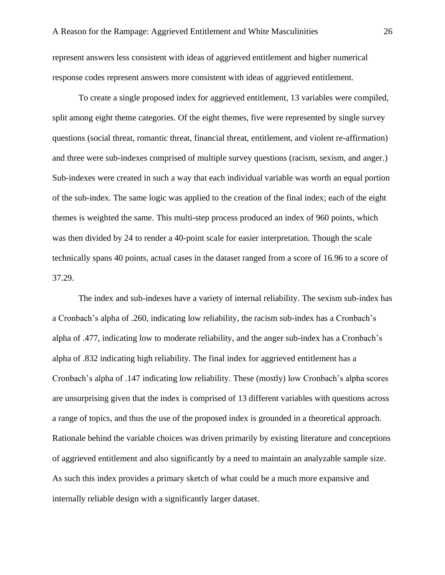represent answers less consistent with ideas of aggrieved entitlement and higher numerical response codes represent answers more consistent with ideas of aggrieved entitlement.

To create a single proposed index for aggrieved entitlement, 13 variables were compiled, split among eight theme categories. Of the eight themes, five were represented by single survey questions (social threat, romantic threat, financial threat, entitlement, and violent re-affirmation) and three were sub-indexes comprised of multiple survey questions (racism, sexism, and anger.) Sub-indexes were created in such a way that each individual variable was worth an equal portion of the sub-index. The same logic was applied to the creation of the final index; each of the eight themes is weighted the same. This multi-step process produced an index of 960 points, which was then divided by 24 to render a 40-point scale for easier interpretation. Though the scale technically spans 40 points, actual cases in the dataset ranged from a score of 16.96 to a score of 37.29.

The index and sub-indexes have a variety of internal reliability. The sexism sub-index has a Cronbach's alpha of .260, indicating low reliability, the racism sub-index has a Cronbach's alpha of .477, indicating low to moderate reliability, and the anger sub-index has a Cronbach's alpha of .832 indicating high reliability. The final index for aggrieved entitlement has a Cronbach's alpha of .147 indicating low reliability. These (mostly) low Cronbach's alpha scores are unsurprising given that the index is comprised of 13 different variables with questions across a range of topics, and thus the use of the proposed index is grounded in a theoretical approach. Rationale behind the variable choices was driven primarily by existing literature and conceptions of aggrieved entitlement and also significantly by a need to maintain an analyzable sample size. As such this index provides a primary sketch of what could be a much more expansive and internally reliable design with a significantly larger dataset.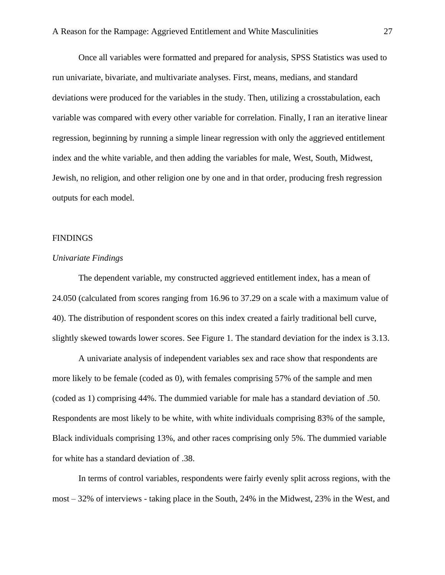Once all variables were formatted and prepared for analysis, SPSS Statistics was used to run univariate, bivariate, and multivariate analyses. First, means, medians, and standard deviations were produced for the variables in the study. Then, utilizing a crosstabulation, each variable was compared with every other variable for correlation. Finally, I ran an iterative linear regression, beginning by running a simple linear regression with only the aggrieved entitlement index and the white variable, and then adding the variables for male, West, South, Midwest, Jewish, no religion, and other religion one by one and in that order, producing fresh regression outputs for each model.

#### **FINDINGS**

#### *Univariate Findings*

The dependent variable, my constructed aggrieved entitlement index, has a mean of 24.050 (calculated from scores ranging from 16.96 to 37.29 on a scale with a maximum value of 40). The distribution of respondent scores on this index created a fairly traditional bell curve, slightly skewed towards lower scores. See Figure 1. The standard deviation for the index is 3.13.

A univariate analysis of independent variables sex and race show that respondents are more likely to be female (coded as 0), with females comprising 57% of the sample and men (coded as 1) comprising 44%. The dummied variable for male has a standard deviation of .50. Respondents are most likely to be white, with white individuals comprising 83% of the sample, Black individuals comprising 13%, and other races comprising only 5%. The dummied variable for white has a standard deviation of .38.

In terms of control variables, respondents were fairly evenly split across regions, with the most – 32% of interviews - taking place in the South, 24% in the Midwest, 23% in the West, and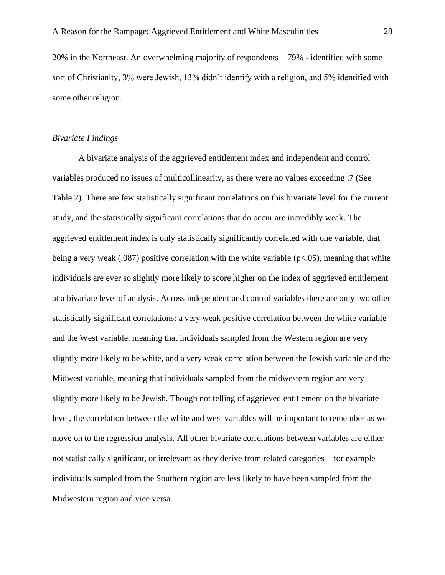20% in the Northeast. An overwhelming majority of respondents – 79% - identified with some sort of Christianity, 3% were Jewish, 13% didn't identify with a religion, and 5% identified with some other religion.

#### *Bivariate Findings*

A bivariate analysis of the aggrieved entitlement index and independent and control variables produced no issues of multicollinearity, as there were no values exceeding .7 (See Table 2). There are few statistically significant correlations on this bivariate level for the current study, and the statistically significant correlations that do occur are incredibly weak. The aggrieved entitlement index is only statistically significantly correlated with one variable, that being a very weak (.087) positive correlation with the white variable ( $p<0.05$ ), meaning that white individuals are ever so slightly more likely to score higher on the index of aggrieved entitlement at a bivariate level of analysis. Across independent and control variables there are only two other statistically significant correlations: a very weak positive correlation between the white variable and the West variable, meaning that individuals sampled from the Western region are very slightly more likely to be white, and a very weak correlation between the Jewish variable and the Midwest variable, meaning that individuals sampled from the midwestern region are very slightly more likely to be Jewish. Though not telling of aggrieved entitlement on the bivariate level, the correlation between the white and west variables will be important to remember as we move on to the regression analysis. All other bivariate correlations between variables are either not statistically significant, or irrelevant as they derive from related categories – for example individuals sampled from the Southern region are less likely to have been sampled from the Midwestern region and vice versa.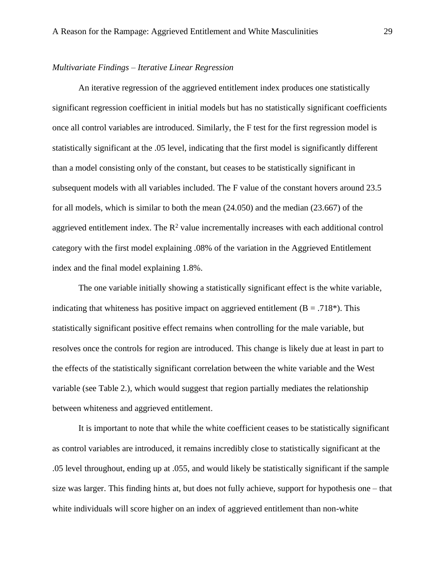#### *Multivariate Findings – Iterative Linear Regression*

An iterative regression of the aggrieved entitlement index produces one statistically significant regression coefficient in initial models but has no statistically significant coefficients once all control variables are introduced. Similarly, the F test for the first regression model is statistically significant at the .05 level, indicating that the first model is significantly different than a model consisting only of the constant, but ceases to be statistically significant in subsequent models with all variables included. The F value of the constant hovers around 23.5 for all models, which is similar to both the mean (24.050) and the median (23.667) of the aggrieved entitlement index. The  $R^2$  value incrementally increases with each additional control category with the first model explaining .08% of the variation in the Aggrieved Entitlement index and the final model explaining 1.8%.

The one variable initially showing a statistically significant effect is the white variable, indicating that whiteness has positive impact on aggrieved entitlement ( $B = .718$ <sup>\*</sup>). This statistically significant positive effect remains when controlling for the male variable, but resolves once the controls for region are introduced. This change is likely due at least in part to the effects of the statistically significant correlation between the white variable and the West variable (see Table 2.), which would suggest that region partially mediates the relationship between whiteness and aggrieved entitlement.

It is important to note that while the white coefficient ceases to be statistically significant as control variables are introduced, it remains incredibly close to statistically significant at the .05 level throughout, ending up at .055, and would likely be statistically significant if the sample size was larger. This finding hints at, but does not fully achieve, support for hypothesis one – that white individuals will score higher on an index of aggrieved entitlement than non-white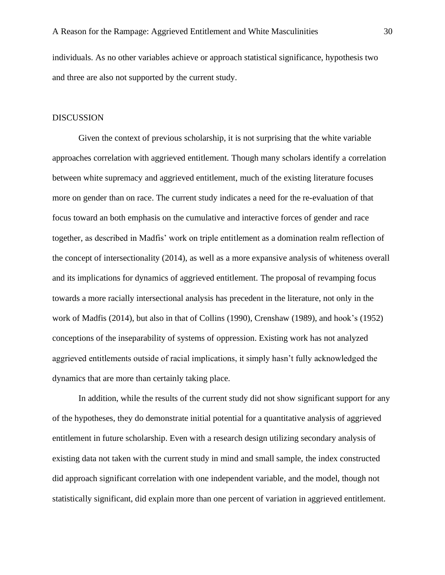individuals. As no other variables achieve or approach statistical significance, hypothesis two and three are also not supported by the current study.

#### DISCUSSION

Given the context of previous scholarship, it is not surprising that the white variable approaches correlation with aggrieved entitlement. Though many scholars identify a correlation between white supremacy and aggrieved entitlement, much of the existing literature focuses more on gender than on race. The current study indicates a need for the re-evaluation of that focus toward an both emphasis on the cumulative and interactive forces of gender and race together, as described in Madfis' work on triple entitlement as a domination realm reflection of the concept of intersectionality (2014), as well as a more expansive analysis of whiteness overall and its implications for dynamics of aggrieved entitlement. The proposal of revamping focus towards a more racially intersectional analysis has precedent in the literature, not only in the work of Madfis (2014), but also in that of Collins (1990), Crenshaw (1989), and hook's (1952) conceptions of the inseparability of systems of oppression. Existing work has not analyzed aggrieved entitlements outside of racial implications, it simply hasn't fully acknowledged the dynamics that are more than certainly taking place.

In addition, while the results of the current study did not show significant support for any of the hypotheses, they do demonstrate initial potential for a quantitative analysis of aggrieved entitlement in future scholarship. Even with a research design utilizing secondary analysis of existing data not taken with the current study in mind and small sample, the index constructed did approach significant correlation with one independent variable, and the model, though not statistically significant, did explain more than one percent of variation in aggrieved entitlement.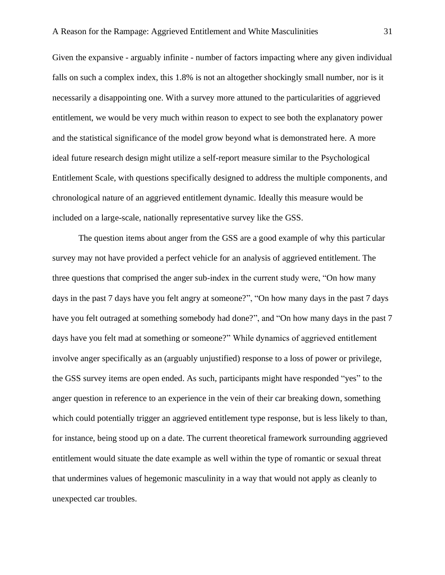Given the expansive - arguably infinite - number of factors impacting where any given individual falls on such a complex index, this 1.8% is not an altogether shockingly small number, nor is it necessarily a disappointing one. With a survey more attuned to the particularities of aggrieved entitlement, we would be very much within reason to expect to see both the explanatory power and the statistical significance of the model grow beyond what is demonstrated here. A more ideal future research design might utilize a self-report measure similar to the Psychological Entitlement Scale, with questions specifically designed to address the multiple components, and chronological nature of an aggrieved entitlement dynamic. Ideally this measure would be included on a large-scale, nationally representative survey like the GSS.

The question items about anger from the GSS are a good example of why this particular survey may not have provided a perfect vehicle for an analysis of aggrieved entitlement. The three questions that comprised the anger sub-index in the current study were, "On how many days in the past 7 days have you felt angry at someone?", "On how many days in the past 7 days have you felt outraged at something somebody had done?", and "On how many days in the past 7 days have you felt mad at something or someone?" While dynamics of aggrieved entitlement involve anger specifically as an (arguably unjustified) response to a loss of power or privilege, the GSS survey items are open ended. As such, participants might have responded "yes" to the anger question in reference to an experience in the vein of their car breaking down, something which could potentially trigger an aggrieved entitlement type response, but is less likely to than, for instance, being stood up on a date. The current theoretical framework surrounding aggrieved entitlement would situate the date example as well within the type of romantic or sexual threat that undermines values of hegemonic masculinity in a way that would not apply as cleanly to unexpected car troubles.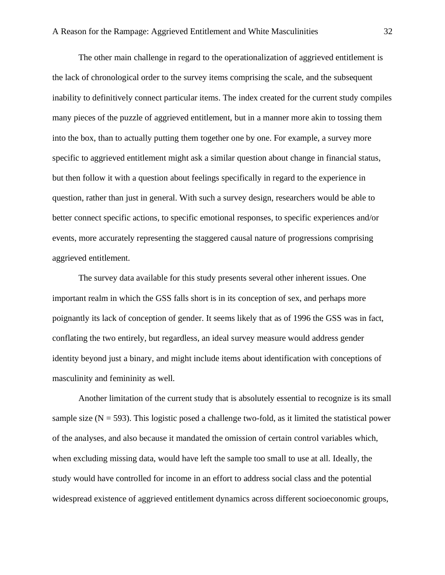The other main challenge in regard to the operationalization of aggrieved entitlement is the lack of chronological order to the survey items comprising the scale, and the subsequent inability to definitively connect particular items. The index created for the current study compiles many pieces of the puzzle of aggrieved entitlement, but in a manner more akin to tossing them into the box, than to actually putting them together one by one. For example, a survey more specific to aggrieved entitlement might ask a similar question about change in financial status, but then follow it with a question about feelings specifically in regard to the experience in question, rather than just in general. With such a survey design, researchers would be able to better connect specific actions, to specific emotional responses, to specific experiences and/or events, more accurately representing the staggered causal nature of progressions comprising aggrieved entitlement.

The survey data available for this study presents several other inherent issues. One important realm in which the GSS falls short is in its conception of sex, and perhaps more poignantly its lack of conception of gender. It seems likely that as of 1996 the GSS was in fact, conflating the two entirely, but regardless, an ideal survey measure would address gender identity beyond just a binary, and might include items about identification with conceptions of masculinity and femininity as well.

Another limitation of the current study that is absolutely essential to recognize is its small sample size  $(N = 593)$ . This logistic posed a challenge two-fold, as it limited the statistical power of the analyses, and also because it mandated the omission of certain control variables which, when excluding missing data, would have left the sample too small to use at all. Ideally, the study would have controlled for income in an effort to address social class and the potential widespread existence of aggrieved entitlement dynamics across different socioeconomic groups,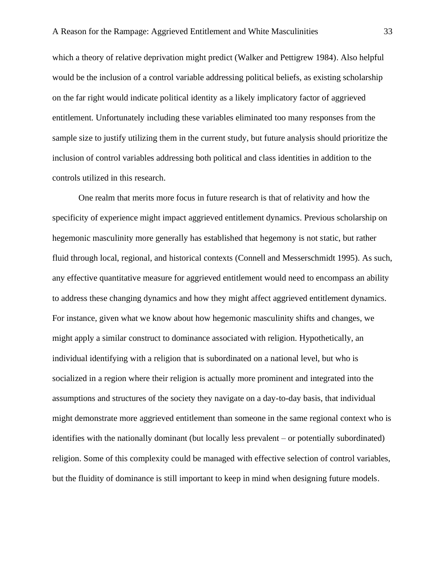which a theory of relative deprivation might predict (Walker and Pettigrew 1984). Also helpful would be the inclusion of a control variable addressing political beliefs, as existing scholarship on the far right would indicate political identity as a likely implicatory factor of aggrieved entitlement. Unfortunately including these variables eliminated too many responses from the sample size to justify utilizing them in the current study, but future analysis should prioritize the inclusion of control variables addressing both political and class identities in addition to the controls utilized in this research.

One realm that merits more focus in future research is that of relativity and how the specificity of experience might impact aggrieved entitlement dynamics. Previous scholarship on hegemonic masculinity more generally has established that hegemony is not static, but rather fluid through local, regional, and historical contexts (Connell and Messerschmidt 1995). As such, any effective quantitative measure for aggrieved entitlement would need to encompass an ability to address these changing dynamics and how they might affect aggrieved entitlement dynamics. For instance, given what we know about how hegemonic masculinity shifts and changes, we might apply a similar construct to dominance associated with religion. Hypothetically, an individual identifying with a religion that is subordinated on a national level, but who is socialized in a region where their religion is actually more prominent and integrated into the assumptions and structures of the society they navigate on a day-to-day basis, that individual might demonstrate more aggrieved entitlement than someone in the same regional context who is identifies with the nationally dominant (but locally less prevalent – or potentially subordinated) religion. Some of this complexity could be managed with effective selection of control variables, but the fluidity of dominance is still important to keep in mind when designing future models.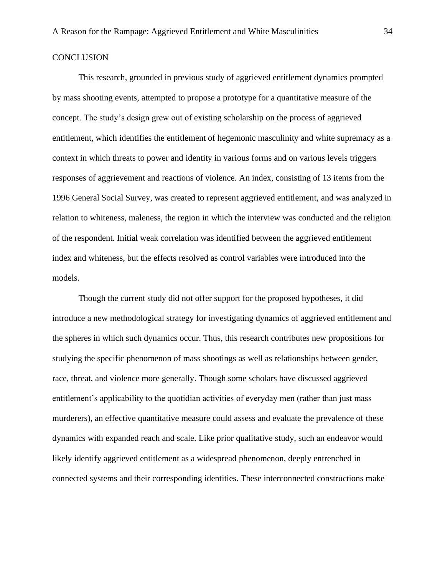#### **CONCLUSION**

This research, grounded in previous study of aggrieved entitlement dynamics prompted by mass shooting events, attempted to propose a prototype for a quantitative measure of the concept. The study's design grew out of existing scholarship on the process of aggrieved entitlement, which identifies the entitlement of hegemonic masculinity and white supremacy as a context in which threats to power and identity in various forms and on various levels triggers responses of aggrievement and reactions of violence. An index, consisting of 13 items from the 1996 General Social Survey, was created to represent aggrieved entitlement, and was analyzed in relation to whiteness, maleness, the region in which the interview was conducted and the religion of the respondent. Initial weak correlation was identified between the aggrieved entitlement index and whiteness, but the effects resolved as control variables were introduced into the models.

Though the current study did not offer support for the proposed hypotheses, it did introduce a new methodological strategy for investigating dynamics of aggrieved entitlement and the spheres in which such dynamics occur. Thus, this research contributes new propositions for studying the specific phenomenon of mass shootings as well as relationships between gender, race, threat, and violence more generally. Though some scholars have discussed aggrieved entitlement's applicability to the quotidian activities of everyday men (rather than just mass murderers), an effective quantitative measure could assess and evaluate the prevalence of these dynamics with expanded reach and scale. Like prior qualitative study, such an endeavor would likely identify aggrieved entitlement as a widespread phenomenon, deeply entrenched in connected systems and their corresponding identities. These interconnected constructions make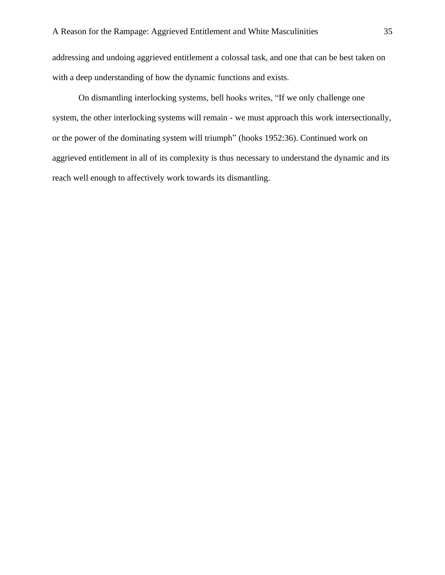addressing and undoing aggrieved entitlement a colossal task, and one that can be best taken on with a deep understanding of how the dynamic functions and exists.

On dismantling interlocking systems, bell hooks writes, "If we only challenge one system, the other interlocking systems will remain - we must approach this work intersectionally, or the power of the dominating system will triumph" (hooks 1952:36). Continued work on aggrieved entitlement in all of its complexity is thus necessary to understand the dynamic and its reach well enough to affectively work towards its dismantling.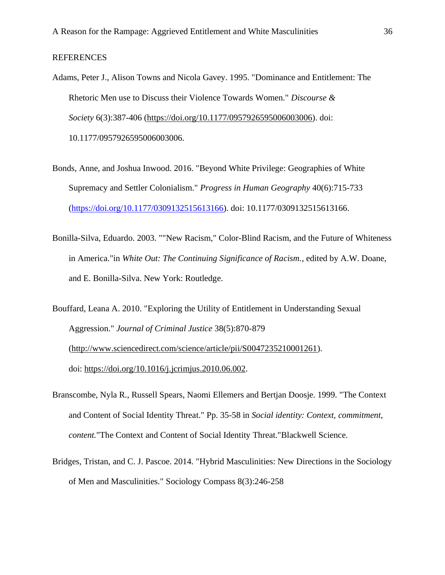### REFERENCES

- Adams, Peter J., Alison Towns and Nicola Gavey. 1995. "Dominance and Entitlement: The Rhetoric Men use to Discuss their Violence Towards Women." *Discourse & Society* 6(3):387-406 [\(https://doi.org/10.1177/0957926595006003006\)](https://doi.org/10.1177/0957926595006003006). doi: 10.1177/0957926595006003006.
- Bonds, Anne, and Joshua Inwood. 2016. "Beyond White Privilege: Geographies of White Supremacy and Settler Colonialism." *Progress in Human Geography* 40(6):715-733 [\(https://doi.org/10.1177/0309132515613166\)](https://doi.org/10.1177/0309132515613166). doi: 10.1177/0309132515613166.
- Bonilla-Silva, Eduardo. 2003. ""New Racism," Color-Blind Racism, and the Future of Whiteness in America."in *White Out: The Continuing Significance of Racism.*, edited by A.W. Doane, and E. Bonilla-Silva. New York: Routledge.
- Bouffard, Leana A. 2010. "Exploring the Utility of Entitlement in Understanding Sexual Aggression." *Journal of Criminal Justice* 38(5):870-879 [\(http://www.sciencedirect.com/science/article/pii/S0047235210001261\)](http://www.sciencedirect.com/science/article/pii/S0047235210001261). doi: [https://doi.org/10.1016/j.jcrimjus.2010.06.002.](https://doi.org/10.1016/j.jcrimjus.2010.06.002)
- Branscombe, Nyla R., Russell Spears, Naomi Ellemers and Bertjan Doosje. 1999. "The Context and Content of Social Identity Threat." Pp. 35-58 in *Social identity: Context, commitment, content.*"The Context and Content of Social Identity Threat."Blackwell Science.
- Bridges, Tristan, and C. J. Pascoe. 2014. "Hybrid Masculinities: New Directions in the Sociology of Men and Masculinities." Sociology Compass 8(3):246-258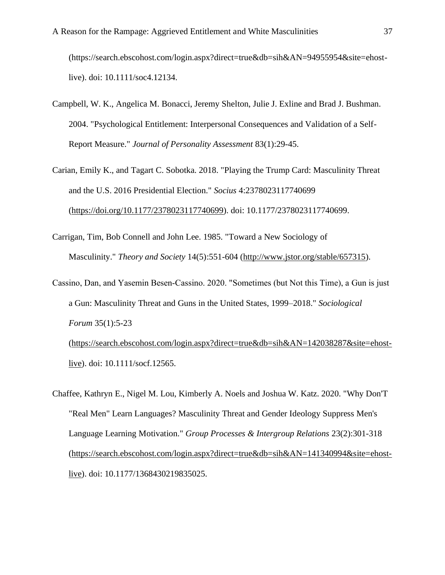(https://search.ebscohost.com/login.aspx?direct=true&db=sih&AN=94955954&site=ehostlive). doi: 10.1111/soc4.12134.

- Campbell, W. K., Angelica M. Bonacci, Jeremy Shelton, Julie J. Exline and Brad J. Bushman. 2004. "Psychological Entitlement: Interpersonal Consequences and Validation of a Self-Report Measure." *Journal of Personality Assessment* 83(1):29-45.
- Carian, Emily K., and Tagart C. Sobotka. 2018. "Playing the Trump Card: Masculinity Threat and the U.S. 2016 Presidential Election." *Socius* 4:2378023117740699 [\(https://doi.org/10.1177/2378023117740699\)](https://doi.org/10.1177/2378023117740699). doi: 10.1177/2378023117740699.
- Carrigan, Tim, Bob Connell and John Lee. 1985. "Toward a New Sociology of Masculinity." *Theory and Society* 14(5):551-604 [\(http://www.jstor.org/stable/657315\)](http://www.jstor.org/stable/657315).
- Cassino, Dan, and Yasemin Besen‐Cassino. 2020. "Sometimes (but Not this Time), a Gun is just a Gun: Masculinity Threat and Guns in the United States, 1999–2018." *Sociological Forum* 35(1):5-23 [\(https://search.ebscohost.com/login.aspx?direct=true&db=sih&AN=142038287&site=ehost-](https://search.ebscohost.com/login.aspx?direct=true&db=sih&AN=142038287&site=ehost-live)

[live\)](https://search.ebscohost.com/login.aspx?direct=true&db=sih&AN=142038287&site=ehost-live). doi: 10.1111/socf.12565.

Chaffee, Kathryn E., Nigel M. Lou, Kimberly A. Noels and Joshua W. Katz. 2020. "Why Don'T "Real Men" Learn Languages? Masculinity Threat and Gender Ideology Suppress Men's Language Learning Motivation." *Group Processes & Intergroup Relations* 23(2):301-318 [\(https://search.ebscohost.com/login.aspx?direct=true&db=sih&AN=141340994&site=ehost](https://search.ebscohost.com/login.aspx?direct=true&db=sih&AN=141340994&site=ehost-live)[live\)](https://search.ebscohost.com/login.aspx?direct=true&db=sih&AN=141340994&site=ehost-live). doi: 10.1177/1368430219835025.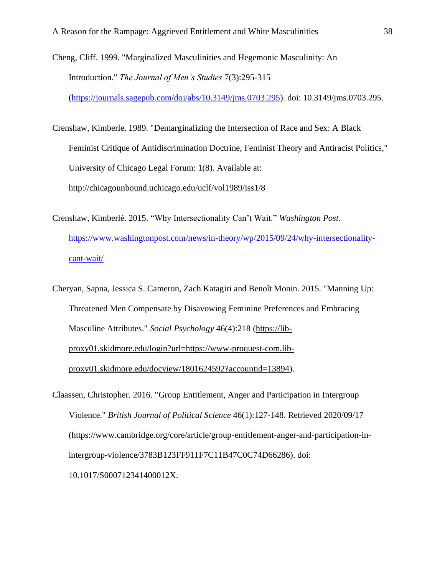- Cheng, Cliff. 1999. "Marginalized Masculinities and Hegemonic Masculinity: An Introduction." *The Journal of Men's Studies* 7(3):295-315 [\(https://journals.sagepub.com/doi/abs/10.3149/jms.0703.295\)](https://journals.sagepub.com/doi/abs/10.3149/jms.0703.295). doi: 10.3149/jms.0703.295.
- Crenshaw, Kimberle. 1989. "Demarginalizing the Intersection of Race and Sex: A Black Feminist Critique of Antidiscrimination Doctrine, Feminist Theory and Antiracist Politics," University of Chicago Legal Forum: 1(8). Available at: <http://chicagounbound.uchicago.edu/uclf/vol1989/iss1/8>
- Crenshaw, Kimberlé. 2015. "Why Intersectionality Can't Wait." *Washington Post.*  [https://www.washingtonpost.com/news/in-theory/wp/2015/09/24/why-intersectionality](https://www.washingtonpost.com/news/in-theory/wp/2015/09/24/why-intersectionality-cant-wait/)[cant-wait/](https://www.washingtonpost.com/news/in-theory/wp/2015/09/24/why-intersectionality-cant-wait/)
- Cheryan, Sapna, Jessica S. Cameron, Zach Katagiri and Benoît Monin. 2015. "Manning Up: Threatened Men Compensate by Disavowing Feminine Preferences and Embracing Masculine Attributes." *Social Psychology* 46(4):218 [\(https://lib](https://lib-proxy01.skidmore.edu/login?url=https://www-proquest-com.lib-proxy01.skidmore.edu/docview/1801624592?accountid=13894)[proxy01.skidmore.edu/login?url=https://www-proquest-com.lib](https://lib-proxy01.skidmore.edu/login?url=https://www-proquest-com.lib-proxy01.skidmore.edu/docview/1801624592?accountid=13894)[proxy01.skidmore.edu/docview/1801624592?accountid=13894\)](https://lib-proxy01.skidmore.edu/login?url=https://www-proquest-com.lib-proxy01.skidmore.edu/docview/1801624592?accountid=13894).
- Claassen, Christopher. 2016. "Group Entitlement, Anger and Participation in Intergroup Violence." *British Journal of Political Science* 46(1):127-148. Retrieved 2020/09/17 [\(https://www.cambridge.org/core/article/group-entitlement-anger-and-participation-in](https://www.cambridge.org/core/article/group-entitlement-anger-and-participation-in-intergroup-violence/3783B123FF911F7C11B47C0C74D66286)[intergroup-violence/3783B123FF911F7C11B47C0C74D66286\)](https://www.cambridge.org/core/article/group-entitlement-anger-and-participation-in-intergroup-violence/3783B123FF911F7C11B47C0C74D66286). doi: 10.1017/S000712341400012X.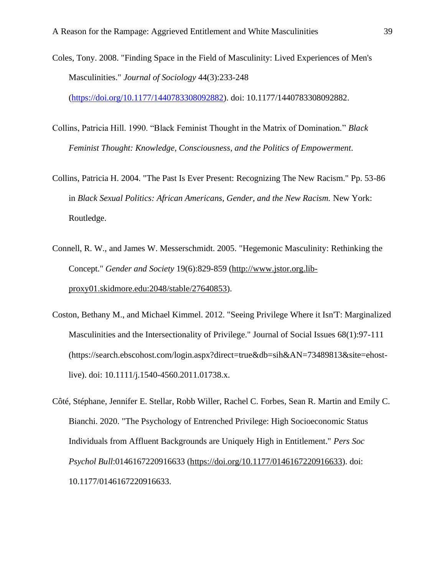- Coles, Tony. 2008. "Finding Space in the Field of Masculinity: Lived Experiences of Men's Masculinities." *Journal of Sociology* 44(3):233-248 [\(https://doi.org/10.1177/1440783308092882\)](https://doi.org/10.1177/1440783308092882). doi: 10.1177/1440783308092882.
- Collins, Patricia Hill. 1990. "Black Feminist Thought in the Matrix of Domination." *Black Feminist Thought: Knowledge, Consciousness, and the Politics of Empowerment*.
- Collins, Patricia H. 2004. "The Past Is Ever Present: Recognizing The New Racism." Pp. 53-86 in *Black Sexual Politics: African Americans, Gender, and the New Racism.* New York: Routledge.
- Connell, R. W., and James W. Messerschmidt. 2005. "Hegemonic Masculinity: Rethinking the Concept." *Gender and Society* 19(6):829-859 [\(http://www.jstor.org.lib](http://www.jstor.org.lib-proxy01.skidmore.edu:2048/stable/27640853)[proxy01.skidmore.edu:2048/stable/27640853\)](http://www.jstor.org.lib-proxy01.skidmore.edu:2048/stable/27640853).
- Coston, Bethany M., and Michael Kimmel. 2012. "Seeing Privilege Where it Isn'T: Marginalized Masculinities and the Intersectionality of Privilege." Journal of Social Issues 68(1):97-111 (https://search.ebscohost.com/login.aspx?direct=true&db=sih&AN=73489813&site=ehostlive). doi: 10.1111/j.1540-4560.2011.01738.x.
- Côté, Stéphane, Jennifer E. Stellar, Robb Willer, Rachel C. Forbes, Sean R. Martin and Emily C. Bianchi. 2020. "The Psychology of Entrenched Privilege: High Socioeconomic Status Individuals from Affluent Backgrounds are Uniquely High in Entitlement." *Pers Soc Psychol Bull*:0146167220916633 [\(https://doi.org/10.1177/0146167220916633\)](https://doi.org/10.1177/0146167220916633). doi: 10.1177/0146167220916633.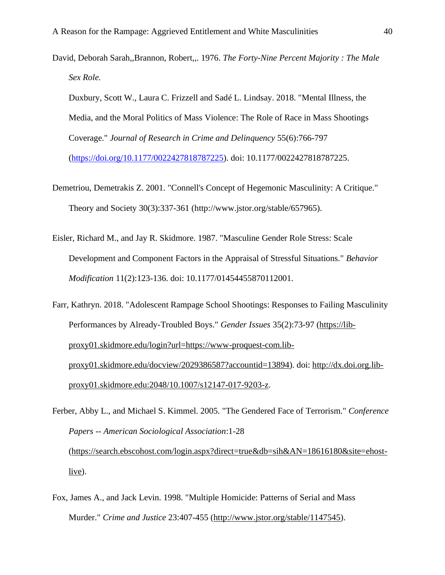David, Deborah Sarah,,Brannon, Robert,,. 1976. *The Forty-Nine Percent Majority : The Male Sex Role.*

Duxbury, Scott W., Laura C. Frizzell and Sadé L. Lindsay. 2018. "Mental Illness, the Media, and the Moral Politics of Mass Violence: The Role of Race in Mass Shootings Coverage." *Journal of Research in Crime and Delinquency* 55(6):766-797 [\(https://doi.org/10.1177/0022427818787225\)](https://doi.org/10.1177/0022427818787225). doi: 10.1177/0022427818787225.

- Demetriou, Demetrakis Z. 2001. "Connell's Concept of Hegemonic Masculinity: A Critique." Theory and Society 30(3):337-361 (http://www.jstor.org/stable/657965).
- Eisler, Richard M., and Jay R. Skidmore. 1987. "Masculine Gender Role Stress: Scale Development and Component Factors in the Appraisal of Stressful Situations." *Behavior Modification* 11(2):123-136. doi: 10.1177/01454455870112001.
- Farr, Kathryn. 2018. "Adolescent Rampage School Shootings: Responses to Failing Masculinity Performances by Already-Troubled Boys." *Gender Issues* 35(2):73-97 [\(https://lib](https://lib-proxy01.skidmore.edu/login?url=https://www-proquest-com.lib-proxy01.skidmore.edu/docview/2029386587?accountid=13894)[proxy01.skidmore.edu/login?url=https://www-proquest-com.lib](https://lib-proxy01.skidmore.edu/login?url=https://www-proquest-com.lib-proxy01.skidmore.edu/docview/2029386587?accountid=13894)[proxy01.skidmore.edu/docview/2029386587?accountid=13894\)](https://lib-proxy01.skidmore.edu/login?url=https://www-proquest-com.lib-proxy01.skidmore.edu/docview/2029386587?accountid=13894). doi: [http://dx.doi.org.lib](http://dx.doi.org.lib-proxy01.skidmore.edu:2048/10.1007/s12147-017-9203-z)[proxy01.skidmore.edu:2048/10.1007/s12147-017-9203-z.](http://dx.doi.org.lib-proxy01.skidmore.edu:2048/10.1007/s12147-017-9203-z)
- Ferber, Abby L., and Michael S. Kimmel. 2005. "The Gendered Face of Terrorism." *Conference Papers -- American Sociological Association*:1-28 [\(https://search.ebscohost.com/login.aspx?direct=true&db=sih&AN=18616180&site=ehost-](https://search.ebscohost.com/login.aspx?direct=true&db=sih&AN=18616180&site=ehost-live) $\frac{live}{i}$ .
- Fox, James A., and Jack Levin. 1998. "Multiple Homicide: Patterns of Serial and Mass Murder." *Crime and Justice* 23:407-455 [\(http://www.jstor.org/stable/1147545\)](http://www.jstor.org/stable/1147545).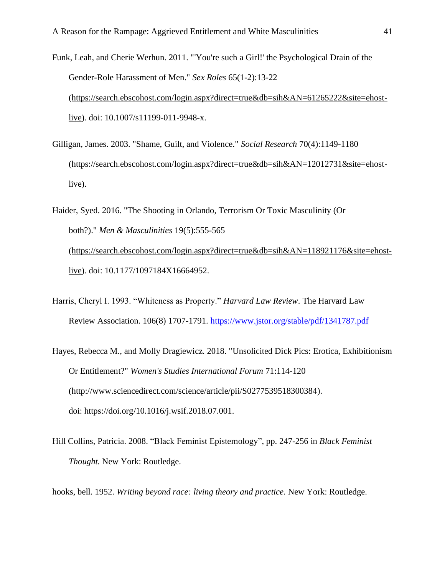- Funk, Leah, and Cherie Werhun. 2011. "'You're such a Girl!' the Psychological Drain of the Gender-Role Harassment of Men." *Sex Roles* 65(1-2):13-22 [\(https://search.ebscohost.com/login.aspx?direct=true&db=sih&AN=61265222&site=ehost](https://search.ebscohost.com/login.aspx?direct=true&db=sih&AN=61265222&site=ehost-live)[live\)](https://search.ebscohost.com/login.aspx?direct=true&db=sih&AN=61265222&site=ehost-live). doi: 10.1007/s11199-011-9948-x.
- Gilligan, James. 2003. "Shame, Guilt, and Violence." *Social Research* 70(4):1149-1180 [\(https://search.ebscohost.com/login.aspx?direct=true&db=sih&AN=12012731&site=ehost](https://search.ebscohost.com/login.aspx?direct=true&db=sih&AN=12012731&site=ehost-live)[live\)](https://search.ebscohost.com/login.aspx?direct=true&db=sih&AN=12012731&site=ehost-live).
- Haider, Syed. 2016. "The Shooting in Orlando, Terrorism Or Toxic Masculinity (Or both?)." *Men & Masculinities* 19(5):555-565 [\(https://search.ebscohost.com/login.aspx?direct=true&db=sih&AN=118921176&site=ehost](https://search.ebscohost.com/login.aspx?direct=true&db=sih&AN=118921176&site=ehost-live)[live\)](https://search.ebscohost.com/login.aspx?direct=true&db=sih&AN=118921176&site=ehost-live). doi: 10.1177/1097184X16664952.
- Harris, Cheryl I. 1993. "Whiteness as Property." *Harvard Law Review*. The Harvard Law Review Association. 106(8) 1707-1791.<https://www.jstor.org/stable/pdf/1341787.pdf>
- Hayes, Rebecca M., and Molly Dragiewicz. 2018. "Unsolicited Dick Pics: Erotica, Exhibitionism Or Entitlement?" *Women's Studies International Forum* 71:114-120 [\(http://www.sciencedirect.com/science/article/pii/S0277539518300384\)](http://www.sciencedirect.com/science/article/pii/S0277539518300384). doi: [https://doi.org/10.1016/j.wsif.2018.07.001.](https://doi.org/10.1016/j.wsif.2018.07.001)
- Hill Collins, Patricia. 2008. "Black Feminist Epistemology", pp. 247-256 in *Black Feminist Thought.* New York: Routledge.

hooks, bell. 1952. *Writing beyond race: living theory and practice.* New York: Routledge.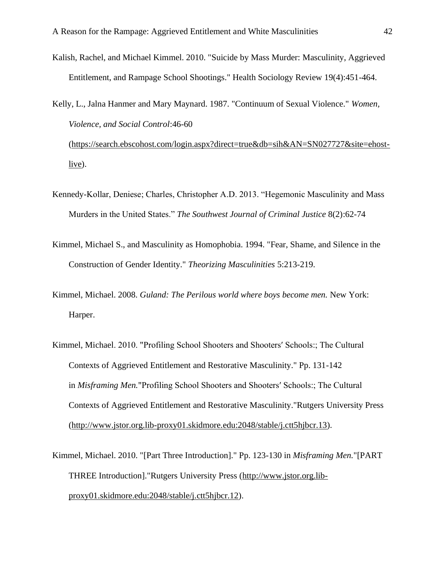Kalish, Rachel, and Michael Kimmel. 2010. "Suicide by Mass Murder: Masculinity, Aggrieved Entitlement, and Rampage School Shootings." Health Sociology Review 19(4):451-464.

Kelly, L., Jalna Hanmer and Mary Maynard. 1987. "Continuum of Sexual Violence." *Women, Violence, and Social Control*:46-60 [\(https://search.ebscohost.com/login.aspx?direct=true&db=sih&AN=SN027727&site=ehost](https://search.ebscohost.com/login.aspx?direct=true&db=sih&AN=SN027727&site=ehost-live)[live\)](https://search.ebscohost.com/login.aspx?direct=true&db=sih&AN=SN027727&site=ehost-live).

- Kennedy-Kollar, Deniese; Charles, Christopher A.D. 2013. "Hegemonic Masculinity and Mass Murders in the United States." *The Southwest Journal of Criminal Justice* 8(2):62-74
- Kimmel, Michael S., and Masculinity as Homophobia. 1994. "Fear, Shame, and Silence in the Construction of Gender Identity." *Theorizing Masculinities* 5:213-219.
- Kimmel, Michael. 2008. *Guland: The Perilous world where boys become men.* New York: Harper.
- Kimmel, Michael. 2010. "Profiling School Shooters and Shootersʹ Schools:; The Cultural Contexts of Aggrieved Entitlement and Restorative Masculinity." Pp. 131-142 in *Misframing Men.*"Profiling School Shooters and Shootersʹ Schools:; The Cultural Contexts of Aggrieved Entitlement and Restorative Masculinity."Rutgers University Press [\(http://www.jstor.org.lib-proxy01.skidmore.edu:2048/stable/j.ctt5hjbcr.13\)](http://www.jstor.org.lib-proxy01.skidmore.edu:2048/stable/j.ctt5hjbcr.13).
- Kimmel, Michael. 2010. "[Part Three Introduction]." Pp. 123-130 in *Misframing Men.*"[PART THREE Introduction]."Rutgers University Press [\(http://www.jstor.org.lib](http://www.jstor.org.lib-proxy01.skidmore.edu:2048/stable/j.ctt5hjbcr.12)[proxy01.skidmore.edu:2048/stable/j.ctt5hjbcr.12\)](http://www.jstor.org.lib-proxy01.skidmore.edu:2048/stable/j.ctt5hjbcr.12).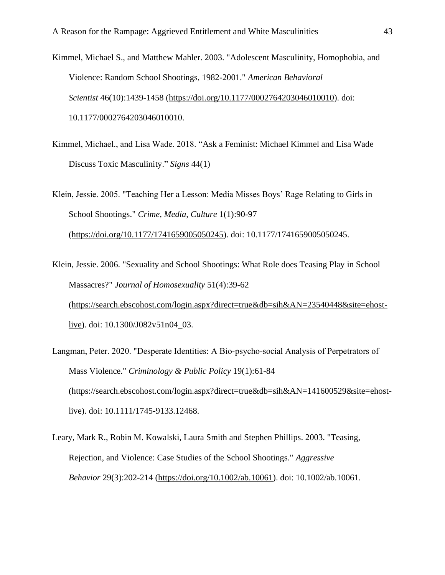- Kimmel, Michael S., and Matthew Mahler. 2003. "Adolescent Masculinity, Homophobia, and Violence: Random School Shootings, 1982-2001." *American Behavioral Scientist* 46(10):1439-1458 [\(https://doi.org/10.1177/0002764203046010010\)](https://doi.org/10.1177/0002764203046010010). doi: 10.1177/0002764203046010010.
- Kimmel, Michael., and Lisa Wade. 2018. "Ask a Feminist: Michael Kimmel and Lisa Wade Discuss Toxic Masculinity." *Signs* 44(1)
- Klein, Jessie. 2005. "Teaching Her a Lesson: Media Misses Boys' Rage Relating to Girls in School Shootings." *Crime, Media, Culture* 1(1):90-97 [\(https://doi.org/10.1177/1741659005050245\)](https://doi.org/10.1177/1741659005050245). doi: 10.1177/1741659005050245.
- Klein, Jessie. 2006. "Sexuality and School Shootings: What Role does Teasing Play in School Massacres?" *Journal of Homosexuality* 51(4):39-62 [\(https://search.ebscohost.com/login.aspx?direct=true&db=sih&AN=23540448&site=ehost](https://search.ebscohost.com/login.aspx?direct=true&db=sih&AN=23540448&site=ehost-live)[live\)](https://search.ebscohost.com/login.aspx?direct=true&db=sih&AN=23540448&site=ehost-live). doi: 10.1300/J082v51n04\_03.
- Langman, Peter. 2020. "Desperate Identities: A Bio‐psycho‐social Analysis of Perpetrators of Mass Violence." *Criminology & Public Policy* 19(1):61-84 [\(https://search.ebscohost.com/login.aspx?direct=true&db=sih&AN=141600529&site=ehost](https://search.ebscohost.com/login.aspx?direct=true&db=sih&AN=141600529&site=ehost-live)[live\)](https://search.ebscohost.com/login.aspx?direct=true&db=sih&AN=141600529&site=ehost-live). doi: 10.1111/1745-9133.12468.
- Leary, Mark R., Robin M. Kowalski, Laura Smith and Stephen Phillips. 2003. "Teasing, Rejection, and Violence: Case Studies of the School Shootings." *Aggressive Behavior* 29(3):202-214 [\(https://doi.org/10.1002/ab.10061\)](https://doi.org/10.1002/ab.10061). doi: 10.1002/ab.10061.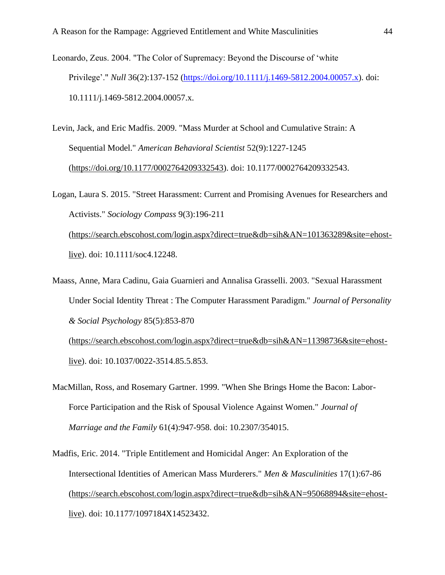Leonardo, Zeus. 2004. "The Color of Supremacy: Beyond the Discourse of 'white Privilege'." *Null* 36(2):137-152 [\(https://doi.org/10.1111/j.1469-5812.2004.00057.x\)](https://doi.org/10.1111/j.1469-5812.2004.00057.x). doi: 10.1111/j.1469-5812.2004.00057.x.

Levin, Jack, and Eric Madfis. 2009. "Mass Murder at School and Cumulative Strain: A Sequential Model." *American Behavioral Scientist* 52(9):1227-1245 [\(https://doi.org/10.1177/0002764209332543\)](https://doi.org/10.1177/0002764209332543). doi: 10.1177/0002764209332543.

Logan, Laura S. 2015. "Street Harassment: Current and Promising Avenues for Researchers and Activists." *Sociology Compass* 9(3):196-211 [\(https://search.ebscohost.com/login.aspx?direct=true&db=sih&AN=101363289&site=ehost](https://search.ebscohost.com/login.aspx?direct=true&db=sih&AN=101363289&site=ehost-live)[live\)](https://search.ebscohost.com/login.aspx?direct=true&db=sih&AN=101363289&site=ehost-live). doi: 10.1111/soc4.12248.

Maass, Anne, Mara Cadinu, Gaia Guarnieri and Annalisa Grasselli. 2003. "Sexual Harassment Under Social Identity Threat : The Computer Harassment Paradigm." *Journal of Personality & Social Psychology* 85(5):853-870 [\(https://search.ebscohost.com/login.aspx?direct=true&db=sih&AN=11398736&site=ehost-](https://search.ebscohost.com/login.aspx?direct=true&db=sih&AN=11398736&site=ehost-live)

[live\)](https://search.ebscohost.com/login.aspx?direct=true&db=sih&AN=11398736&site=ehost-live). doi: 10.1037/0022-3514.85.5.853.

MacMillan, Ross, and Rosemary Gartner. 1999. "When She Brings Home the Bacon: Labor-Force Participation and the Risk of Spousal Violence Against Women." *Journal of Marriage and the Family* 61(4):947-958. doi: 10.2307/354015.

Madfis, Eric. 2014. "Triple Entitlement and Homicidal Anger: An Exploration of the Intersectional Identities of American Mass Murderers." *Men & Masculinities* 17(1):67-86 [\(https://search.ebscohost.com/login.aspx?direct=true&db=sih&AN=95068894&site=ehost](https://search.ebscohost.com/login.aspx?direct=true&db=sih&AN=95068894&site=ehost-live)[live\)](https://search.ebscohost.com/login.aspx?direct=true&db=sih&AN=95068894&site=ehost-live). doi: 10.1177/1097184X14523432.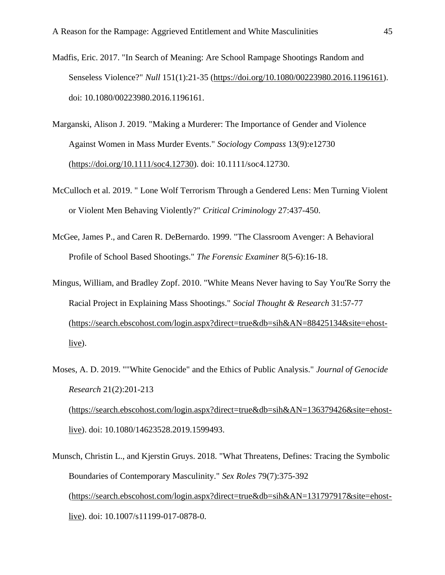- Madfis, Eric. 2017. "In Search of Meaning: Are School Rampage Shootings Random and Senseless Violence?" *Null* 151(1):21-35 [\(https://doi.org/10.1080/00223980.2016.1196161\)](https://doi.org/10.1080/00223980.2016.1196161). doi: 10.1080/00223980.2016.1196161.
- Marganski, Alison J. 2019. "Making a Murderer: The Importance of Gender and Violence Against Women in Mass Murder Events." *Sociology Compass* 13(9):e12730 [\(https://doi.org/10.1111/soc4.12730\)](https://doi.org/10.1111/soc4.12730). doi: 10.1111/soc4.12730.
- McCulloch et al. 2019. " Lone Wolf Terrorism Through a Gendered Lens: Men Turning Violent or Violent Men Behaving Violently?" *Critical Criminology* 27:437-450.
- McGee, James P., and Caren R. DeBernardo. 1999. "The Classroom Avenger: A Behavioral Profile of School Based Shootings." *The Forensic Examiner* 8(5-6):16-18.
- Mingus, William, and Bradley Zopf. 2010. "White Means Never having to Say You'Re Sorry the Racial Project in Explaining Mass Shootings." *Social Thought & Research* 31:57-77 [\(https://search.ebscohost.com/login.aspx?direct=true&db=sih&AN=88425134&site=ehost-](https://search.ebscohost.com/login.aspx?direct=true&db=sih&AN=88425134&site=ehost-live) $\frac{live}{.}$
- Moses, A. D. 2019. ""White Genocide" and the Ethics of Public Analysis." *Journal of Genocide Research* 21(2):201-213 [\(https://search.ebscohost.com/login.aspx?direct=true&db=sih&AN=136379426&site=ehost](https://search.ebscohost.com/login.aspx?direct=true&db=sih&AN=136379426&site=ehost-live)[live\)](https://search.ebscohost.com/login.aspx?direct=true&db=sih&AN=136379426&site=ehost-live). doi: 10.1080/14623528.2019.1599493.
- Munsch, Christin L., and Kjerstin Gruys. 2018. "What Threatens, Defines: Tracing the Symbolic Boundaries of Contemporary Masculinity." *Sex Roles* 79(7):375-392 [\(https://search.ebscohost.com/login.aspx?direct=true&db=sih&AN=131797917&site=ehost](https://search.ebscohost.com/login.aspx?direct=true&db=sih&AN=131797917&site=ehost-live)[live\)](https://search.ebscohost.com/login.aspx?direct=true&db=sih&AN=131797917&site=ehost-live). doi: 10.1007/s11199-017-0878-0.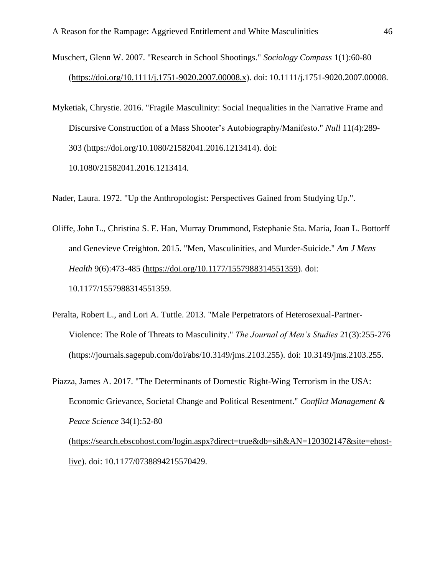- Muschert, Glenn W. 2007. "Research in School Shootings." *Sociology Compass* 1(1):60-80 [\(https://doi.org/10.1111/j.1751-9020.2007.00008.x\)](https://doi.org/10.1111/j.1751-9020.2007.00008.x). doi: 10.1111/j.1751-9020.2007.00008.
- Myketiak, Chrystie. 2016. "Fragile Masculinity: Social Inequalities in the Narrative Frame and Discursive Construction of a Mass Shooter's Autobiography/Manifesto." *Null* 11(4):289- 303 [\(https://doi.org/10.1080/21582041.2016.1213414\)](https://doi.org/10.1080/21582041.2016.1213414). doi: 10.1080/21582041.2016.1213414.

Nader, Laura. 1972. "Up the Anthropologist: Perspectives Gained from Studying Up.".

- Oliffe, John L., Christina S. E. Han, Murray Drummond, Estephanie Sta. Maria, Joan L. Bottorff and Genevieve Creighton. 2015. "Men, Masculinities, and Murder-Suicide." *Am J Mens Health* 9(6):473-485 [\(https://doi.org/10.1177/1557988314551359\)](https://doi.org/10.1177/1557988314551359). doi: 10.1177/1557988314551359.
- Peralta, Robert L., and Lori A. Tuttle. 2013. "Male Perpetrators of Heterosexual-Partner-Violence: The Role of Threats to Masculinity." *The Journal of Men's Studies* 21(3):255-276 [\(https://journals.sagepub.com/doi/abs/10.3149/jms.2103.255\)](https://journals.sagepub.com/doi/abs/10.3149/jms.2103.255). doi: 10.3149/jms.2103.255.
- Piazza, James A. 2017. "The Determinants of Domestic Right-Wing Terrorism in the USA: Economic Grievance, Societal Change and Political Resentment." *Conflict Management & Peace Science* 34(1):52-80 [\(https://search.ebscohost.com/login.aspx?direct=true&db=sih&AN=120302147&site=ehost-](https://search.ebscohost.com/login.aspx?direct=true&db=sih&AN=120302147&site=ehost-live)

[live\)](https://search.ebscohost.com/login.aspx?direct=true&db=sih&AN=120302147&site=ehost-live). doi: 10.1177/0738894215570429.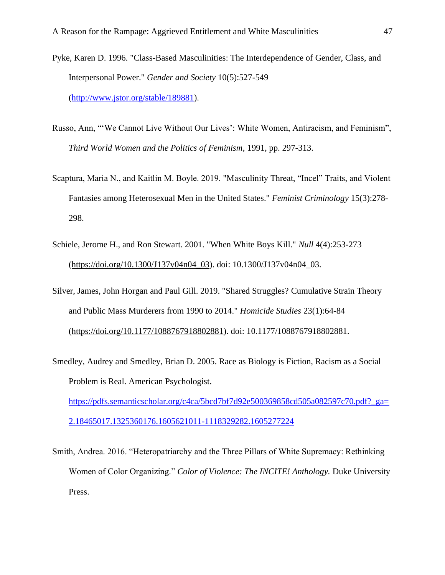- Pyke, Karen D. 1996. "Class-Based Masculinities: The Interdependence of Gender, Class, and Interpersonal Power." *Gender and Society* 10(5):527-549 [\(http://www.jstor.org/stable/189881\)](http://www.jstor.org/stable/189881).
- Russo, Ann, "'We Cannot Live Without Our Lives': White Women, Antiracism, and Feminism", *Third World Women and the Politics of Feminism*, 1991, pp. 297-313.
- Scaptura, Maria N., and Kaitlin M. Boyle. 2019. "Masculinity Threat, "Incel" Traits, and Violent Fantasies among Heterosexual Men in the United States." *Feminist Criminology* 15(3):278- 298.
- Schiele, Jerome H., and Ron Stewart. 2001. "When White Boys Kill." *Null* 4(4):253-273 [\(https://doi.org/10.1300/J137v04n04\\_03\)](https://doi.org/10.1300/J137v04n04_03). doi: 10.1300/J137v04n04\_03.
- Silver, James, John Horgan and Paul Gill. 2019. "Shared Struggles? Cumulative Strain Theory and Public Mass Murderers from 1990 to 2014." *Homicide Studies* 23(1):64-84 [\(https://doi.org/10.1177/1088767918802881\)](https://doi.org/10.1177/1088767918802881). doi: 10.1177/1088767918802881.
- Smedley, Audrey and Smedley, Brian D. 2005. Race as Biology is Fiction, Racism as a Social Problem is Real. American Psychologist. [https://pdfs.semanticscholar.org/c4ca/5bcd7bf7d92e500369858cd505a082597c70.pdf?\\_ga=](https://pdfs.semanticscholar.org/c4ca/5bcd7bf7d92e500369858cd505a082597c70.pdf?_ga=2.18465017.1325360176.1605621011-1118329282.1605277224) [2.18465017.1325360176.1605621011-1118329282.1605277224](https://pdfs.semanticscholar.org/c4ca/5bcd7bf7d92e500369858cd505a082597c70.pdf?_ga=2.18465017.1325360176.1605621011-1118329282.1605277224)
- Smith, Andrea. 2016. "Heteropatriarchy and the Three Pillars of White Supremacy: Rethinking Women of Color Organizing." *Color of Violence: The INCITE! Anthology.* Duke University Press.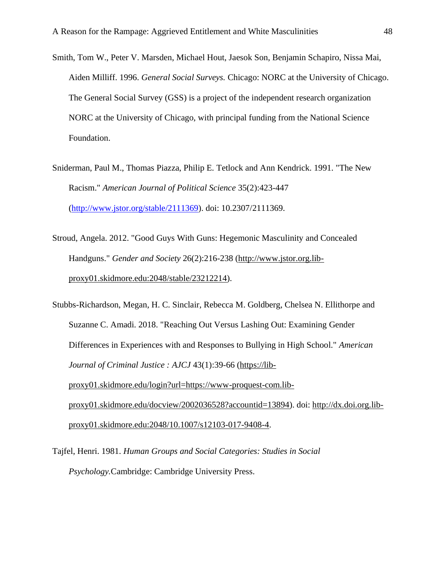- Smith, Tom W., Peter V. Marsden, Michael Hout, Jaesok Son, Benjamin Schapiro, Nissa Mai, Aiden Milliff. 1996. *General Social Surveys.* Chicago: NORC at the University of Chicago. The General Social Survey (GSS) is a project of the independent research organization NORC at the University of Chicago, with principal funding from the National Science Foundation.
- Sniderman, Paul M., Thomas Piazza, Philip E. Tetlock and Ann Kendrick. 1991. "The New Racism." *American Journal of Political Science* 35(2):423-447 [\(http://www.jstor.org/stable/2111369\)](http://www.jstor.org/stable/2111369). doi: 10.2307/2111369.
- Stroud, Angela. 2012. "Good Guys With Guns: Hegemonic Masculinity and Concealed Handguns." *Gender and Society* 26(2):216-238 [\(http://www.jstor.org.lib](http://www.jstor.org.lib-proxy01.skidmore.edu:2048/stable/23212214)[proxy01.skidmore.edu:2048/stable/23212214\)](http://www.jstor.org.lib-proxy01.skidmore.edu:2048/stable/23212214).
- Stubbs-Richardson, Megan, H. C. Sinclair, Rebecca M. Goldberg, Chelsea N. Ellithorpe and Suzanne C. Amadi. 2018. "Reaching Out Versus Lashing Out: Examining Gender Differences in Experiences with and Responses to Bullying in High School." *American Journal of Criminal Justice : AJCJ* 43(1):39-66 [\(https://lib](https://lib-proxy01.skidmore.edu/login?url=https://www-proquest-com.lib-proxy01.skidmore.edu/docview/2002036528?accountid=13894)[proxy01.skidmore.edu/login?url=https://www-proquest-com.lib](https://lib-proxy01.skidmore.edu/login?url=https://www-proquest-com.lib-proxy01.skidmore.edu/docview/2002036528?accountid=13894)[proxy01.skidmore.edu/docview/2002036528?accountid=13894\)](https://lib-proxy01.skidmore.edu/login?url=https://www-proquest-com.lib-proxy01.skidmore.edu/docview/2002036528?accountid=13894). doi: [http://dx.doi.org.lib](http://dx.doi.org.lib-proxy01.skidmore.edu:2048/10.1007/s12103-017-9408-4)[proxy01.skidmore.edu:2048/10.1007/s12103-017-9408-4.](http://dx.doi.org.lib-proxy01.skidmore.edu:2048/10.1007/s12103-017-9408-4)
- Tajfel, Henri. 1981. *Human Groups and Social Categories: Studies in Social Psychology.*Cambridge: Cambridge University Press.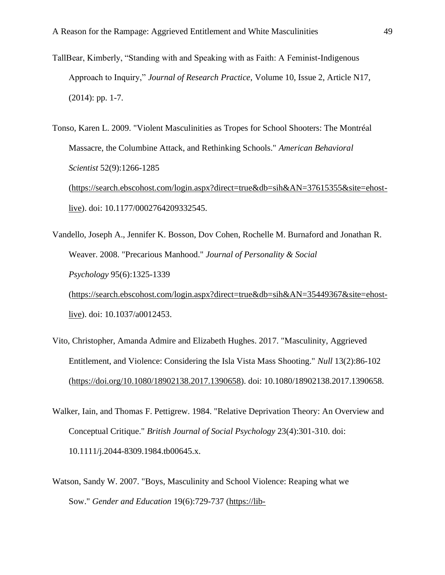- TallBear, Kimberly, "Standing with and Speaking with as Faith: A Feminist-Indigenous Approach to Inquiry," *Journal of Research Practice*, Volume 10, Issue 2, Article N17, (2014): pp. 1-7.
- Tonso, Karen L. 2009. "Violent Masculinities as Tropes for School Shooters: The Montréal Massacre, the Columbine Attack, and Rethinking Schools." *American Behavioral Scientist* 52(9):1266-1285 [\(https://search.ebscohost.com/login.aspx?direct=true&db=sih&AN=37615355&site=ehost](https://search.ebscohost.com/login.aspx?direct=true&db=sih&AN=37615355&site=ehost-live)[live\)](https://search.ebscohost.com/login.aspx?direct=true&db=sih&AN=37615355&site=ehost-live). doi: 10.1177/0002764209332545.
- Vandello, Joseph A., Jennifer K. Bosson, Dov Cohen, Rochelle M. Burnaford and Jonathan R. Weaver. 2008. "Precarious Manhood." *Journal of Personality & Social Psychology* 95(6):1325-1339 [\(https://search.ebscohost.com/login.aspx?direct=true&db=sih&AN=35449367&site=ehost](https://search.ebscohost.com/login.aspx?direct=true&db=sih&AN=35449367&site=ehost-live)[live\)](https://search.ebscohost.com/login.aspx?direct=true&db=sih&AN=35449367&site=ehost-live). doi: 10.1037/a0012453.
- Vito, Christopher, Amanda Admire and Elizabeth Hughes. 2017. "Masculinity, Aggrieved Entitlement, and Violence: Considering the Isla Vista Mass Shooting." *Null* 13(2):86-102 [\(https://doi.org/10.1080/18902138.2017.1390658\)](https://doi.org/10.1080/18902138.2017.1390658). doi: 10.1080/18902138.2017.1390658.
- Walker, Iain, and Thomas F. Pettigrew. 1984. "Relative Deprivation Theory: An Overview and Conceptual Critique." *British Journal of Social Psychology* 23(4):301-310. doi: 10.1111/j.2044-8309.1984.tb00645.x.
- Watson, Sandy W. 2007. "Boys, Masculinity and School Violence: Reaping what we Sow." *Gender and Education* 19(6):729-737 [\(https://lib-](https://lib-proxy01.skidmore.edu/login?url=https://search.proquest.com/docview/61701255?accountid=13894)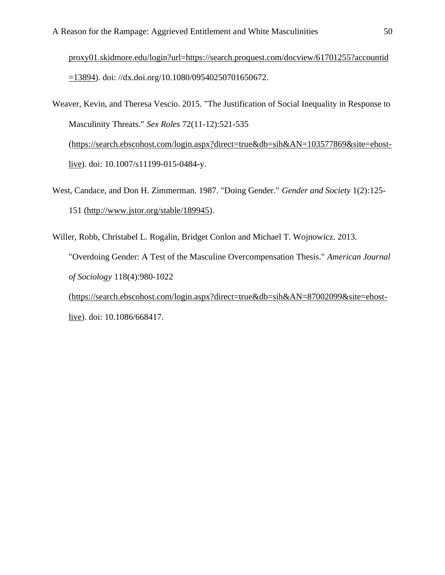[proxy01.skidmore.edu/login?url=https://search.proquest.com/docview/61701255?accountid](https://lib-proxy01.skidmore.edu/login?url=https://search.proquest.com/docview/61701255?accountid=13894)  $=$ 13894). doi: //dx.doi.org/10.1080/09540250701650672.

- Weaver, Kevin, and Theresa Vescio. 2015. "The Justification of Social Inequality in Response to Masculinity Threats." *Sex Roles* 72(11-12):521-535 [\(https://search.ebscohost.com/login.aspx?direct=true&db=sih&AN=103577869&site=ehost](https://search.ebscohost.com/login.aspx?direct=true&db=sih&AN=103577869&site=ehost-live)[live\)](https://search.ebscohost.com/login.aspx?direct=true&db=sih&AN=103577869&site=ehost-live). doi: 10.1007/s11199-015-0484-y.
- West, Candace, and Don H. Zimmerman. 1987. "Doing Gender." *Gender and Society* 1(2):125- 151 [\(http://www.jstor.org/stable/189945\)](http://www.jstor.org/stable/189945).
- Willer, Robb, Christabel L. Rogalin, Bridget Conlon and Michael T. Wojnowicz. 2013. "Overdoing Gender: A Test of the Masculine Overcompensation Thesis." *American Journal of Sociology* 118(4):980-1022 [\(https://search.ebscohost.com/login.aspx?direct=true&db=sih&AN=87002099&site=ehost](https://search.ebscohost.com/login.aspx?direct=true&db=sih&AN=87002099&site=ehost-live)[live\)](https://search.ebscohost.com/login.aspx?direct=true&db=sih&AN=87002099&site=ehost-live). doi: 10.1086/668417.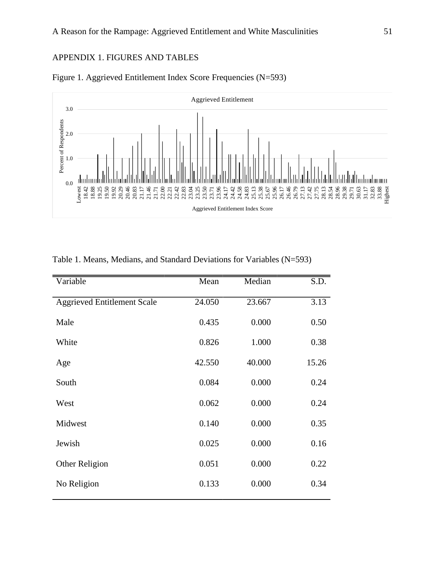## APPENDIX 1. FIGURES AND TABLES





| Variable                           | Mean   | Median | S.D.  |
|------------------------------------|--------|--------|-------|
| <b>Aggrieved Entitlement Scale</b> | 24.050 | 23.667 | 3.13  |
| Male                               | 0.435  | 0.000  | 0.50  |
| White                              | 0.826  | 1.000  | 0.38  |
| Age                                | 42.550 | 40.000 | 15.26 |
| South                              | 0.084  | 0.000  | 0.24  |
| West                               | 0.062  | 0.000  | 0.24  |
| Midwest                            | 0.140  | 0.000  | 0.35  |
| Jewish                             | 0.025  | 0.000  | 0.16  |
| Other Religion                     | 0.051  | 0.000  | 0.22  |
| No Religion                        | 0.133  | 0.000  | 0.34  |

#### Table 1. Means, Medians, and Standard Deviations for Variables (N=593)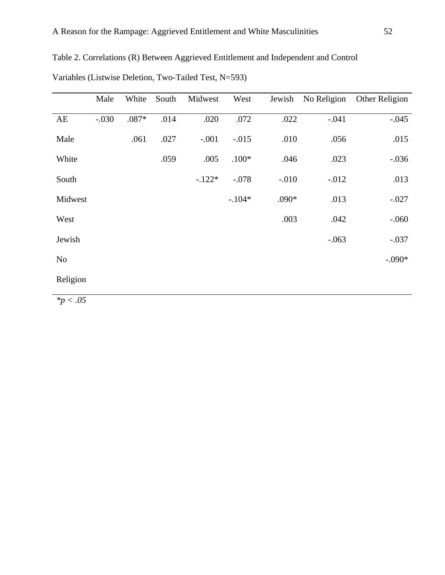|                | Male    | White   | South | Midwest  | West     | Jewish  | No Religion | Other Religion |
|----------------|---------|---------|-------|----------|----------|---------|-------------|----------------|
|                |         |         |       |          |          |         |             |                |
| AE             | $-.030$ | $.087*$ | .014  | .020     | .072     | .022    | $-.041$     | $-.045$        |
|                |         |         |       |          |          |         |             |                |
| Male           |         | .061    | .027  | $-.001$  | $-.015$  | .010    | .056        | .015           |
|                |         |         |       |          |          |         |             |                |
| White          |         |         | .059  | .005     | $.100*$  | .046    | .023        | $-.036$        |
|                |         |         |       |          |          |         |             |                |
|                |         |         |       |          |          |         |             |                |
| South          |         |         |       | $-.122*$ | $-.078$  | $-.010$ | $-0.012$    | .013           |
|                |         |         |       |          |          |         |             |                |
| Midwest        |         |         |       |          | $-.104*$ | $.090*$ | .013        | $-.027$        |
|                |         |         |       |          |          |         |             |                |
| West           |         |         |       |          |          | .003    | .042        | $-0.060$       |
|                |         |         |       |          |          |         |             |                |
| Jewish         |         |         |       |          |          |         | $-.063$     | $-.037$        |
|                |         |         |       |          |          |         |             |                |
|                |         |         |       |          |          |         |             |                |
| N <sub>0</sub> |         |         |       |          |          |         |             | $-.090*$       |
|                |         |         |       |          |          |         |             |                |
| Religion       |         |         |       |          |          |         |             |                |
|                |         |         |       |          |          |         |             |                |

Table 2. Correlations (R) Between Aggrieved Entitlement and Independent and Control

|  |  |  |  | Variables (Listwise Deletion, Two-Tailed Test, N=593) |
|--|--|--|--|-------------------------------------------------------|
|--|--|--|--|-------------------------------------------------------|

*\*p < .05*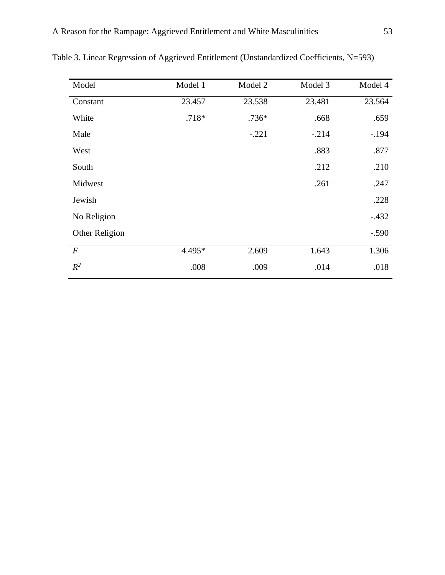| Model            | Model 1 | Model 2 | Model 3 | Model 4 |
|------------------|---------|---------|---------|---------|
| Constant         | 23.457  | 23.538  | 23.481  | 23.564  |
| White            | $.718*$ | $.736*$ | .668    | .659    |
| Male             |         | $-.221$ | $-.214$ | $-.194$ |
| West             |         |         | .883    | .877    |
| South            |         |         | .212    | .210    |
| Midwest          |         |         | .261    | .247    |
| Jewish           |         |         |         | .228    |
| No Religion      |         |         |         | $-.432$ |
| Other Religion   |         |         |         | $-.590$ |
| $\boldsymbol{F}$ | 4.495*  | 2.609   | 1.643   | 1.306   |
| $R^2$            | .008    | .009    | .014    | .018    |

Table 3. Linear Regression of Aggrieved Entitlement (Unstandardized Coefficients, N=593)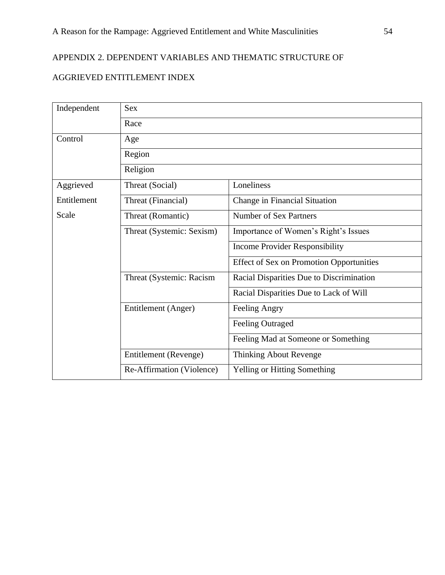# APPENDIX 2. DEPENDENT VARIABLES AND THEMATIC STRUCTURE OF

# AGGRIEVED ENTITLEMENT INDEX

| Independent | <b>Sex</b>                |                                                 |  |  |
|-------------|---------------------------|-------------------------------------------------|--|--|
|             | Race                      |                                                 |  |  |
| Control     | Age                       |                                                 |  |  |
|             | Region                    |                                                 |  |  |
|             | Religion                  |                                                 |  |  |
| Aggrieved   | Threat (Social)           | Loneliness                                      |  |  |
| Entitlement | Threat (Financial)        | Change in Financial Situation                   |  |  |
| Scale       | Threat (Romantic)         | <b>Number of Sex Partners</b>                   |  |  |
|             | Threat (Systemic: Sexism) | Importance of Women's Right's Issues            |  |  |
|             |                           | <b>Income Provider Responsibility</b>           |  |  |
|             |                           | <b>Effect of Sex on Promotion Opportunities</b> |  |  |
|             | Threat (Systemic: Racism  | Racial Disparities Due to Discrimination        |  |  |
|             |                           | Racial Disparities Due to Lack of Will          |  |  |
|             | Entitlement (Anger)       | Feeling Angry                                   |  |  |
|             |                           | <b>Feeling Outraged</b>                         |  |  |
|             |                           | Feeling Mad at Someone or Something             |  |  |
|             | Entitlement (Revenge)     | Thinking About Revenge                          |  |  |
|             | Re-Affirmation (Violence) | Yelling or Hitting Something                    |  |  |